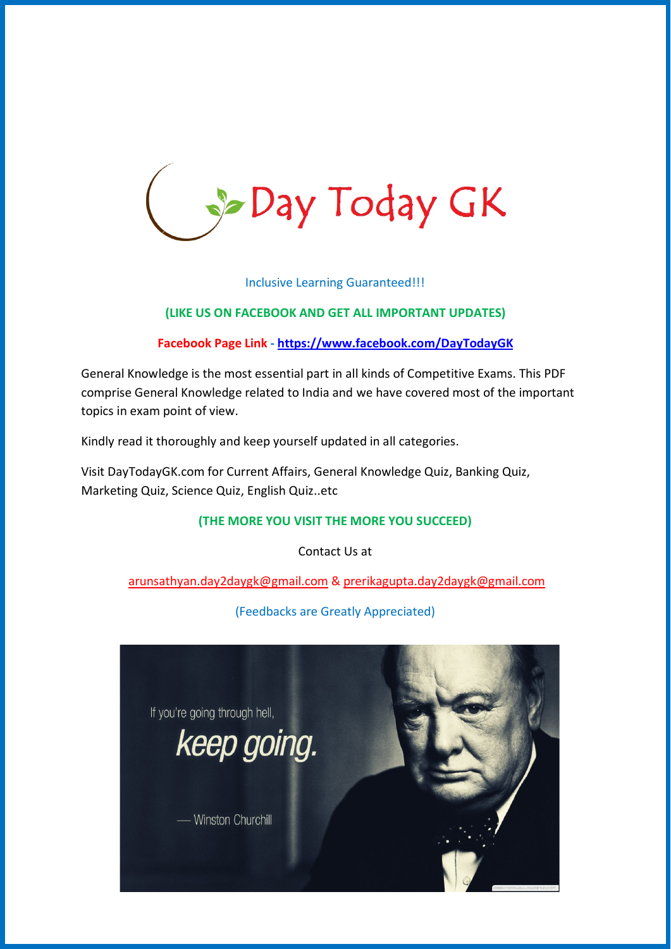

Inclusive Learning Guaranteed!!!

#### **(LIKE US ON FACEBOOK AND GET ALL IMPORTANT UPDATES)**

**Facebook Page Link -<https://www.facebook.com/DayTodayGK>**

General Knowledge is the most essential part in all kinds of Competitive Exams. This PDF comprise General Knowledge related to India and we have covered most of the important topics in exam point of view.

Kindly read it thoroughly and keep yourself updated in all categories.

Visit DayTodayGK.com for Current Affairs, General Knowledge Quiz, Banking Quiz, Marketing Quiz, Science Quiz, English Quiz..etc

#### **(THE MORE YOU VISIT THE MORE YOU SUCCEED)**

Contact Us at

[arunsathyan.day2daygk@gmail.com](mailto:arunsathyan.day2daygk@gmail.com) & [prerikagupta.day2daygk@gmail.com](mailto:prerikagupta.day2daygk@gmail.com)

(Feedbacks are Greatly Appreciated)

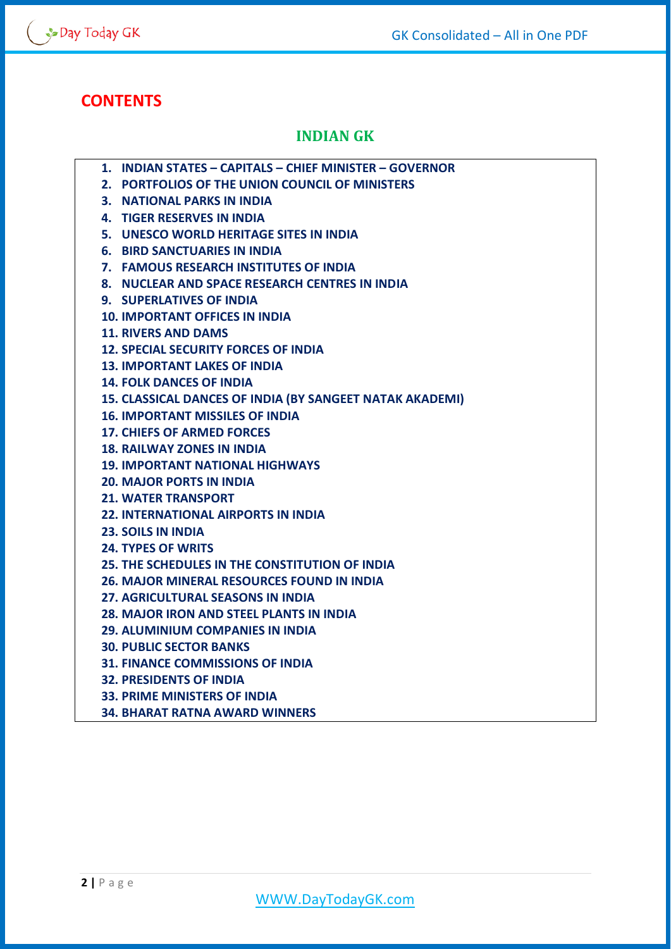# **CONTENTS**

# **INDIAN GK**

- **1. INDIAN STATES – CAPITALS – CHIEF MINISTER – GOVERNOR**
- **2. PORTFOLIOS OF THE UNION COUNCIL OF MINISTERS**
- **3. NATIONAL PARKS IN INDIA**
- **4. TIGER RESERVES IN INDIA**
- **5. UNESCO WORLD HERITAGE SITES IN INDIA**
- **6. BIRD SANCTUARIES IN INDIA**
- **7. FAMOUS RESEARCH INSTITUTES OF INDIA**
- **8. NUCLEAR AND SPACE RESEARCH CENTRES IN INDIA**
- **9. SUPERLATIVES OF INDIA**
- **10. IMPORTANT OFFICES IN INDIA**
- **11. RIVERS AND DAMS**
- **12. SPECIAL SECURITY FORCES OF INDIA**
- **13. IMPORTANT LAKES OF INDIA**
- **14. FOLK DANCES OF INDIA**
- **15. CLASSICAL DANCES OF INDIA (BY SANGEET NATAK AKADEMI)**
- **16. IMPORTANT MISSILES OF INDIA**
- **17. CHIEFS OF ARMED FORCES**
- **18. RAILWAY ZONES IN INDIA**
- **19. IMPORTANT NATIONAL HIGHWAYS**
- **20. MAJOR PORTS IN INDIA**
- **21. WATER TRANSPORT**
- **22. INTERNATIONAL AIRPORTS IN INDIA**
- **23. SOILS IN INDIA**
- **24. TYPES OF WRITS**
- **25. THE SCHEDULES IN THE CONSTITUTION OF INDIA**
- **26. MAJOR MINERAL RESOURCES FOUND IN INDIA**
- **27. AGRICULTURAL SEASONS IN INDIA**
- **28. MAJOR IRON AND STEEL PLANTS IN INDIA**
- **29. ALUMINIUM COMPANIES IN INDIA**
- **30. PUBLIC SECTOR BANKS**
- **31. FINANCE COMMISSIONS OF INDIA**
- **32. PRESIDENTS OF INDIA**
- **33. PRIME MINISTERS OF INDIA**
- **34. BHARAT RATNA AWARD WINNERS**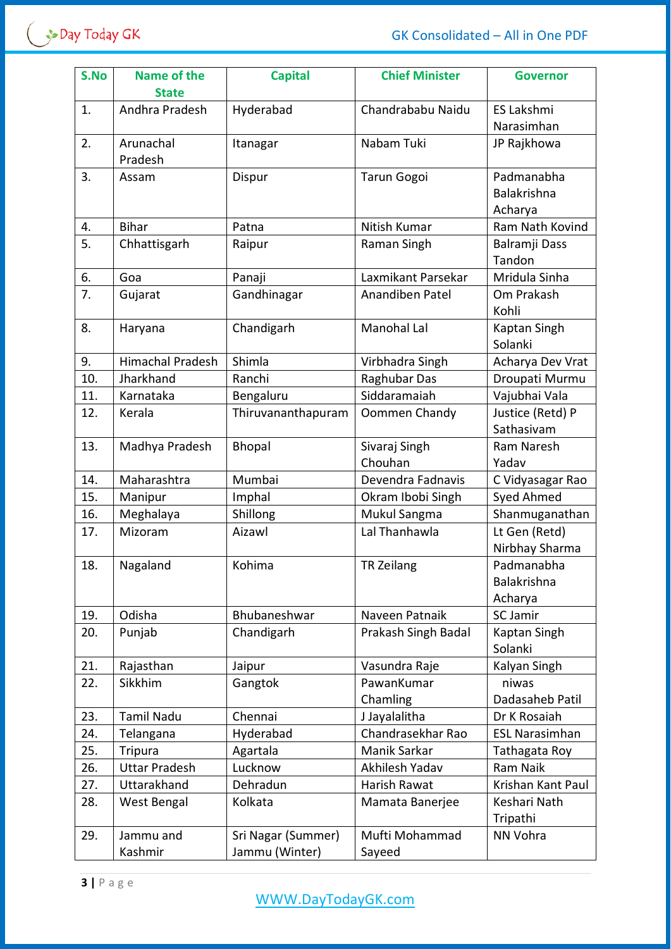| S.No | <b>Name of the</b><br><b>State</b> | <b>Capital</b>                       | <b>Chief Minister</b>    | <b>Governor</b>                      |
|------|------------------------------------|--------------------------------------|--------------------------|--------------------------------------|
| 1.   | Andhra Pradesh                     | Hyderabad                            | Chandrababu Naidu        | <b>ES Lakshmi</b><br>Narasimhan      |
| 2.   | Arunachal<br>Pradesh               | Itanagar                             | Nabam Tuki               | JP Rajkhowa                          |
| 3.   | Assam                              | Dispur                               | <b>Tarun Gogoi</b>       | Padmanabha<br>Balakrishna<br>Acharya |
| 4.   | <b>Bihar</b>                       | Patna                                | Nitish Kumar             | Ram Nath Kovind                      |
| 5.   | Chhattisgarh                       | Raipur                               | Raman Singh              | Balramji Dass<br>Tandon              |
| 6.   | Goa                                | Panaji                               | Laxmikant Parsekar       | Mridula Sinha                        |
| 7.   | Gujarat                            | Gandhinagar                          | Anandiben Patel          | Om Prakash<br>Kohli                  |
| 8.   | Haryana                            | Chandigarh                           | Manohal Lal              | Kaptan Singh<br>Solanki              |
| 9.   | <b>Himachal Pradesh</b>            | Shimla                               | Virbhadra Singh          | Acharya Dev Vrat                     |
| 10.  | Jharkhand                          | Ranchi                               | Raghubar Das             | Droupati Murmu                       |
| 11.  | Karnataka                          | Bengaluru                            | Siddaramaiah             | Vajubhai Vala                        |
| 12.  | Kerala                             | Thiruvananthapuram                   | Oommen Chandy            | Justice (Retd) P<br>Sathasivam       |
| 13.  | Madhya Pradesh                     | <b>Bhopal</b>                        | Sivaraj Singh<br>Chouhan | Ram Naresh<br>Yadav                  |
| 14.  | Maharashtra                        | Mumbai                               | Devendra Fadnavis        | C Vidyasagar Rao                     |
| 15.  | Manipur                            | Imphal                               | Okram Ibobi Singh        | Syed Ahmed                           |
| 16.  | Meghalaya                          | Shillong                             | Mukul Sangma             | Shanmuganathan                       |
| 17.  | Mizoram                            | Aizawl                               | Lal Thanhawla            | Lt Gen (Retd)<br>Nirbhay Sharma      |
| 18.  | Nagaland                           | Kohima                               | <b>TR Zeilang</b>        | Padmanabha<br>Balakrishna<br>Acharya |
| 19.  | Odisha                             | Bhubaneshwar                         | Naveen Patnaik           | <b>SC Jamir</b>                      |
| 20.  | Punjab                             | Chandigarh                           | Prakash Singh Badal      | Kaptan Singh<br>Solanki              |
| 21.  | Rajasthan                          | Jaipur                               | Vasundra Raje            | Kalyan Singh                         |
| 22.  | Sikkhim                            | Gangtok                              | PawanKumar<br>Chamling   | niwas<br>Dadasaheb Patil             |
| 23.  | <b>Tamil Nadu</b>                  | Chennai                              | J Jayalalitha            | Dr K Rosaiah                         |
| 24.  | Telangana                          | Hyderabad                            | Chandrasekhar Rao        | <b>ESL Narasimhan</b>                |
| 25.  | <b>Tripura</b>                     | Agartala                             | Manik Sarkar             | Tathagata Roy                        |
| 26.  | <b>Uttar Pradesh</b>               | Lucknow                              | Akhilesh Yadav           | Ram Naik                             |
| 27.  | Uttarakhand                        | Dehradun                             | Harish Rawat             | Krishan Kant Paul                    |
| 28.  | West Bengal                        | Kolkata                              | Mamata Banerjee          | Keshari Nath<br>Tripathi             |
| 29.  | Jammu and<br>Kashmir               | Sri Nagar (Summer)<br>Jammu (Winter) | Mufti Mohammad<br>Sayeed | NN Vohra                             |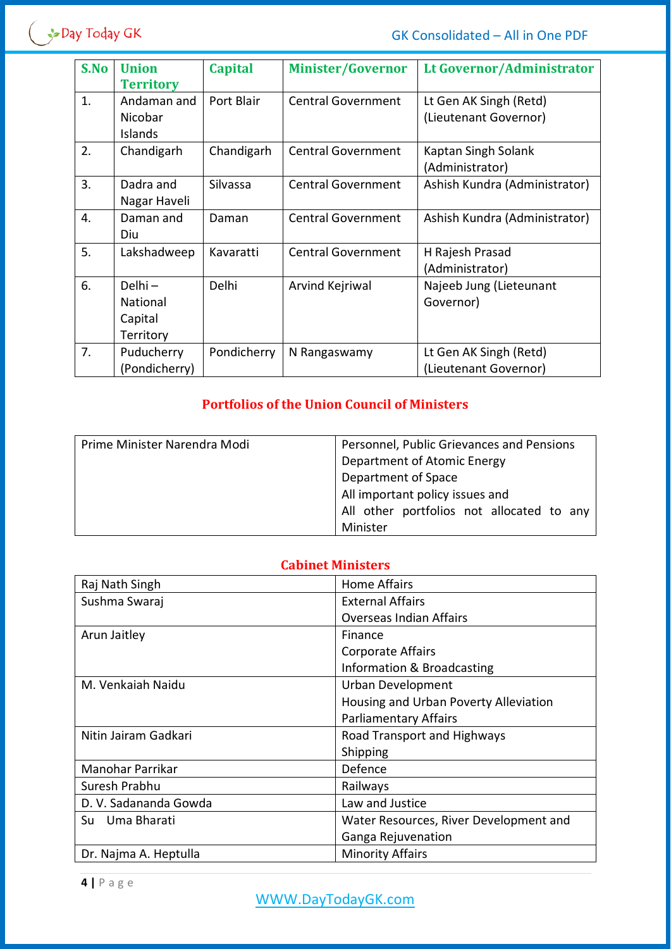

| S.No | <b>Union</b>     | <b>Capital</b> | <b>Minister/Governor</b>  | <b>Lt Governor/Administrator</b> |
|------|------------------|----------------|---------------------------|----------------------------------|
|      | <b>Territory</b> |                |                           |                                  |
| 1.   | Andaman and      | Port Blair     | <b>Central Government</b> | Lt Gen AK Singh (Retd)           |
|      | Nicobar          |                |                           | (Lieutenant Governor)            |
|      | Islands          |                |                           |                                  |
| 2.   | Chandigarh       | Chandigarh     | <b>Central Government</b> | Kaptan Singh Solank              |
|      |                  |                |                           | (Administrator)                  |
| 3.   | Dadra and        | Silvassa       | <b>Central Government</b> | Ashish Kundra (Administrator)    |
|      | Nagar Haveli     |                |                           |                                  |
| 4.   | Daman and        | Daman          | <b>Central Government</b> | Ashish Kundra (Administrator)    |
|      | Diu              |                |                           |                                  |
| 5.   | Lakshadweep      | Kavaratti      | <b>Central Government</b> | H Rajesh Prasad                  |
|      |                  |                |                           | (Administrator)                  |
| 6.   | Delhi-           | Delhi          | Arvind Kejriwal           | Najeeb Jung (Lieteunant          |
|      | National         |                |                           | Governor)                        |
|      | Capital          |                |                           |                                  |
|      | Territory        |                |                           |                                  |
| 7.   | Puducherry       | Pondicherry    | N Rangaswamy              | Lt Gen AK Singh (Retd)           |
|      | (Pondicherry)    |                |                           | (Lieutenant Governor)            |

## **Portfolios of the Union Council of Ministers**

| Prime Minister Narendra Modi | Personnel, Public Grievances and Pensions |
|------------------------------|-------------------------------------------|
|                              | Department of Atomic Energy               |
|                              | Department of Space                       |
|                              | All important policy issues and           |
|                              | All other portfolios not allocated to any |
|                              | Minister                                  |

# **Cabinet Ministers**

| Raj Nath Singh        | Home Affairs                           |
|-----------------------|----------------------------------------|
| Sushma Swaraj         | <b>External Affairs</b>                |
|                       | <b>Overseas Indian Affairs</b>         |
| Arun Jaitley          | Finance                                |
|                       | Corporate Affairs                      |
|                       | Information & Broadcasting             |
| M. Venkaiah Naidu     | <b>Urban Development</b>               |
|                       | Housing and Urban Poverty Alleviation  |
|                       | <b>Parliamentary Affairs</b>           |
| Nitin Jairam Gadkari  | Road Transport and Highways            |
|                       | Shipping                               |
| Manohar Parrikar      | Defence                                |
| Suresh Prabhu         | Railways                               |
| D. V. Sadananda Gowda | Law and Justice                        |
| Uma Bharati<br>Su     | Water Resources, River Development and |
|                       | Ganga Rejuvenation                     |
| Dr. Najma A. Heptulla | <b>Minority Affairs</b>                |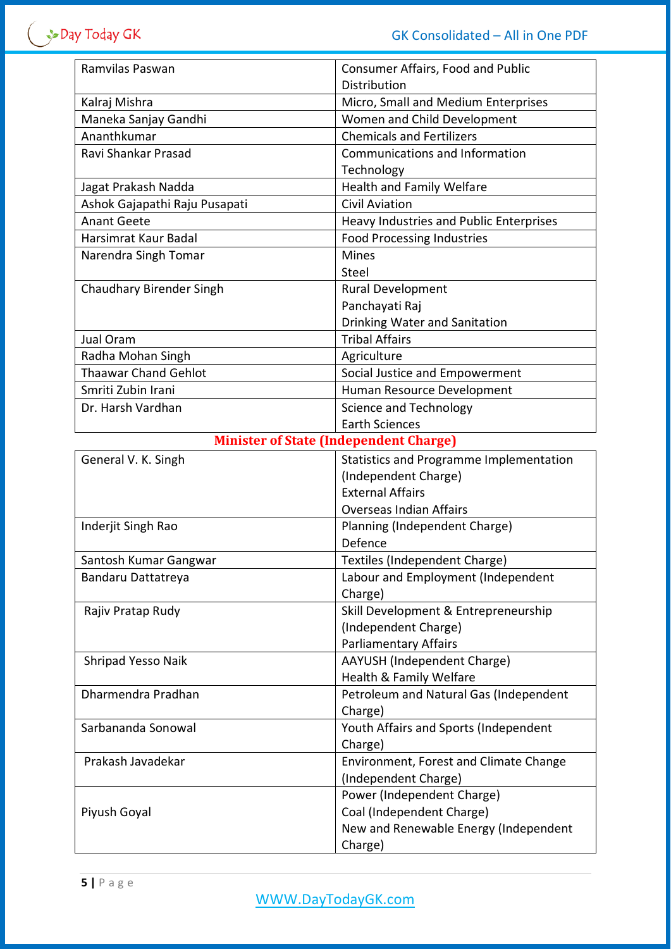| Ramvilas Paswan                               | Consumer Affairs, Food and Public<br><b>Distribution</b> |  |  |
|-----------------------------------------------|----------------------------------------------------------|--|--|
| Kalraj Mishra                                 | Micro, Small and Medium Enterprises                      |  |  |
| Maneka Sanjay Gandhi                          | Women and Child Development                              |  |  |
| Ananthkumar                                   | <b>Chemicals and Fertilizers</b>                         |  |  |
| Ravi Shankar Prasad                           | Communications and Information                           |  |  |
|                                               | Technology                                               |  |  |
| Jagat Prakash Nadda                           | <b>Health and Family Welfare</b>                         |  |  |
| Ashok Gajapathi Raju Pusapati                 | <b>Civil Aviation</b>                                    |  |  |
| <b>Anant Geete</b>                            | Heavy Industries and Public Enterprises                  |  |  |
| Harsimrat Kaur Badal                          | <b>Food Processing Industries</b>                        |  |  |
| Narendra Singh Tomar                          | <b>Mines</b>                                             |  |  |
|                                               | Steel                                                    |  |  |
| <b>Chaudhary Birender Singh</b>               | <b>Rural Development</b>                                 |  |  |
|                                               | Panchayati Raj                                           |  |  |
|                                               | Drinking Water and Sanitation                            |  |  |
| Jual Oram                                     | <b>Tribal Affairs</b>                                    |  |  |
| Radha Mohan Singh                             | Agriculture                                              |  |  |
| <b>Thaawar Chand Gehlot</b>                   | Social Justice and Empowerment                           |  |  |
| Smriti Zubin Irani                            | Human Resource Development                               |  |  |
| Dr. Harsh Vardhan                             | Science and Technology                                   |  |  |
|                                               | <b>Earth Sciences</b>                                    |  |  |
| <b>Minister of State (Independent Charge)</b> |                                                          |  |  |
| General V. K. Singh                           | <b>Statistics and Programme Implementation</b>           |  |  |
|                                               | (Independent Charge)                                     |  |  |
|                                               | <b>External Affairs</b>                                  |  |  |
|                                               | <b>Overseas Indian Affairs</b>                           |  |  |
| Inderjit Singh Rao                            | Planning (Independent Charge)                            |  |  |
|                                               | Defence                                                  |  |  |
| Santosh Kumar Gangwar                         | Textiles (Independent Charge)                            |  |  |
| Bandaru Dattatreya                            | Labour and Employment (Independent                       |  |  |
|                                               | Charge)                                                  |  |  |
| Rajiv Pratap Rudy                             | Skill Development & Entrepreneurship                     |  |  |
|                                               | (Independent Charge)                                     |  |  |
|                                               | <b>Parliamentary Affairs</b>                             |  |  |
| Shripad Yesso Naik                            |                                                          |  |  |
|                                               | AAYUSH (Independent Charge)                              |  |  |
|                                               | Health & Family Welfare                                  |  |  |
| Dharmendra Pradhan                            | Petroleum and Natural Gas (Independent                   |  |  |
|                                               | Charge)                                                  |  |  |
| Sarbananda Sonowal                            | Youth Affairs and Sports (Independent                    |  |  |
|                                               | Charge)                                                  |  |  |
| Prakash Javadekar                             | Environment, Forest and Climate Change                   |  |  |
|                                               | (Independent Charge)                                     |  |  |
|                                               | Power (Independent Charge)                               |  |  |
| Piyush Goyal                                  | Coal (Independent Charge)                                |  |  |
|                                               | New and Renewable Energy (Independent                    |  |  |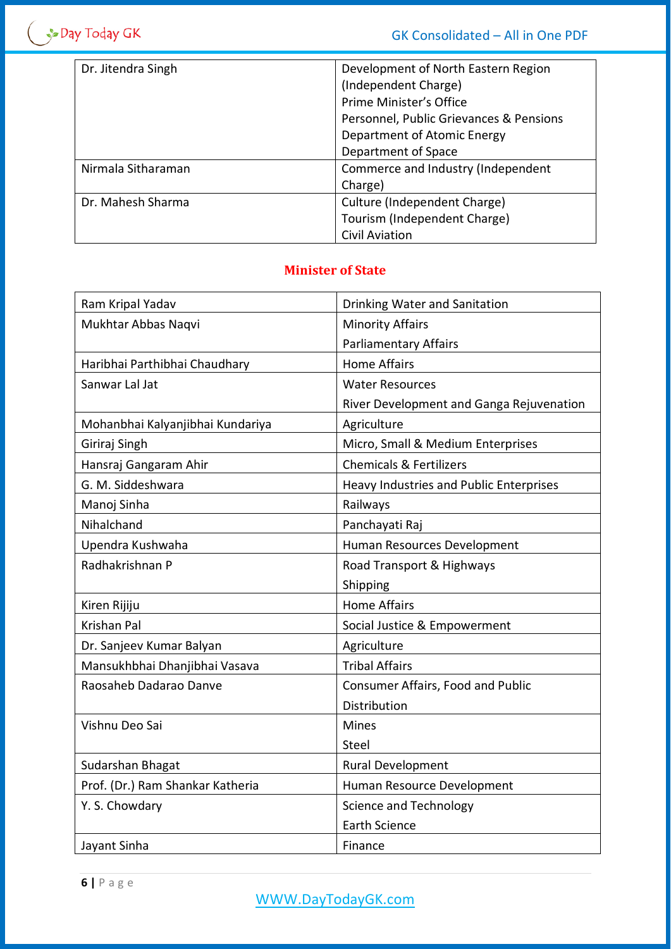| Dr. Jitendra Singh | Development of North Eastern Region     |
|--------------------|-----------------------------------------|
|                    | (Independent Charge)                    |
|                    | Prime Minister's Office                 |
|                    | Personnel, Public Grievances & Pensions |
|                    | Department of Atomic Energy             |
|                    | Department of Space                     |
| Nirmala Sitharaman | Commerce and Industry (Independent      |
|                    | Charge)                                 |
| Dr. Mahesh Sharma  | Culture (Independent Charge)            |
|                    | Tourism (Independent Charge)            |
|                    | <b>Civil Aviation</b>                   |

## **Minister of State**

| Ram Kripal Yadav                 | Drinking Water and Sanitation            |
|----------------------------------|------------------------------------------|
| Mukhtar Abbas Naqvi              | <b>Minority Affairs</b>                  |
|                                  | <b>Parliamentary Affairs</b>             |
| Haribhai Parthibhai Chaudhary    | <b>Home Affairs</b>                      |
| Sanwar Lal Jat                   | <b>Water Resources</b>                   |
|                                  | River Development and Ganga Rejuvenation |
| Mohanbhai Kalyanjibhai Kundariya | Agriculture                              |
| Giriraj Singh                    | Micro, Small & Medium Enterprises        |
| Hansraj Gangaram Ahir            | <b>Chemicals &amp; Fertilizers</b>       |
| G. M. Siddeshwara                | Heavy Industries and Public Enterprises  |
| Manoj Sinha                      | Railways                                 |
| Nihalchand                       | Panchayati Raj                           |
| Upendra Kushwaha                 | Human Resources Development              |
| Radhakrishnan P                  | Road Transport & Highways                |
|                                  | Shipping                                 |
| Kiren Rijiju                     | <b>Home Affairs</b>                      |
| <b>Krishan Pal</b>               | Social Justice & Empowerment             |
| Dr. Sanjeev Kumar Balyan         | Agriculture                              |
| Mansukhbhai Dhanjibhai Vasava    | <b>Tribal Affairs</b>                    |
| Raosaheb Dadarao Danve           | Consumer Affairs, Food and Public        |
|                                  | Distribution                             |
| Vishnu Deo Sai                   | <b>Mines</b>                             |
|                                  | Steel                                    |
| Sudarshan Bhagat                 | <b>Rural Development</b>                 |
| Prof. (Dr.) Ram Shankar Katheria | Human Resource Development               |
| Y. S. Chowdary                   | Science and Technology                   |
|                                  | <b>Earth Science</b>                     |
| Jayant Sinha                     | Finance                                  |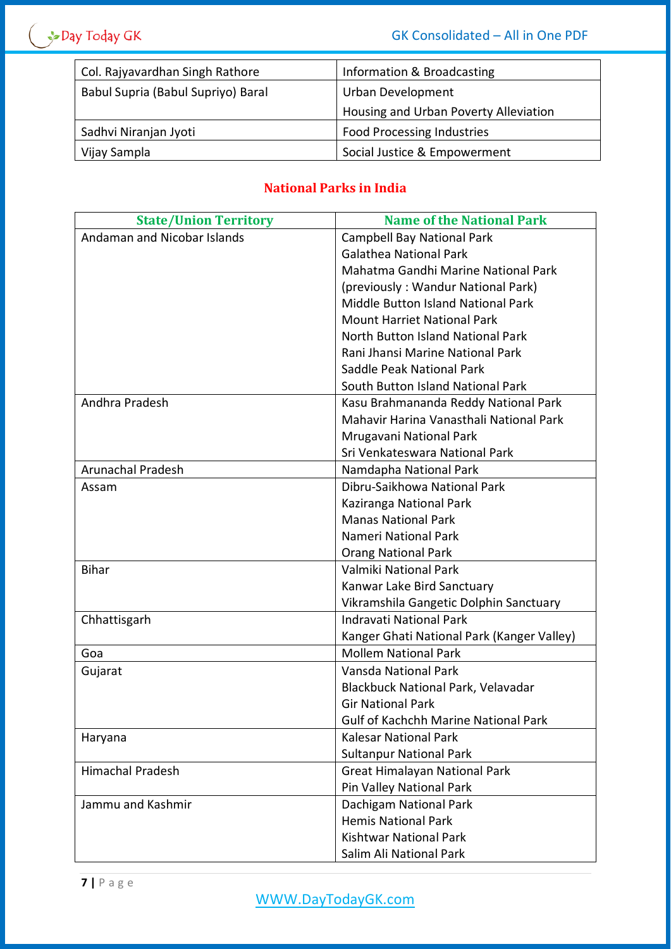| Col. Rajyavardhan Singh Rathore    | Information & Broadcasting            |
|------------------------------------|---------------------------------------|
| Babul Supria (Babul Supriyo) Baral | Urban Development                     |
|                                    | Housing and Urban Poverty Alleviation |
| Sadhvi Niranjan Jyoti              | <b>Food Processing Industries</b>     |
| Vijay Sampla                       | Social Justice & Empowerment          |

# **National Parks in India**

| <b>State/Union Territory</b> | <b>Name of the National Park</b>            |
|------------------------------|---------------------------------------------|
| Andaman and Nicobar Islands  | <b>Campbell Bay National Park</b>           |
|                              | <b>Galathea National Park</b>               |
|                              | Mahatma Gandhi Marine National Park         |
|                              | (previously: Wandur National Park)          |
|                              | Middle Button Island National Park          |
|                              | <b>Mount Harriet National Park</b>          |
|                              | North Button Island National Park           |
|                              | Rani Jhansi Marine National Park            |
|                              | Saddle Peak National Park                   |
|                              | South Button Island National Park           |
| Andhra Pradesh               | Kasu Brahmananda Reddy National Park        |
|                              | Mahavir Harina Vanasthali National Park     |
|                              | Mrugavani National Park                     |
|                              | Sri Venkateswara National Park              |
| <b>Arunachal Pradesh</b>     | Namdapha National Park                      |
| Assam                        | Dibru-Saikhowa National Park                |
|                              | Kaziranga National Park                     |
|                              | <b>Manas National Park</b>                  |
|                              | Nameri National Park                        |
|                              | <b>Orang National Park</b>                  |
| <b>Bihar</b>                 | Valmiki National Park                       |
|                              | Kanwar Lake Bird Sanctuary                  |
|                              | Vikramshila Gangetic Dolphin Sanctuary      |
| Chhattisgarh                 | <b>Indravati National Park</b>              |
|                              | Kanger Ghati National Park (Kanger Valley)  |
| Goa                          | <b>Mollem National Park</b>                 |
| Gujarat                      | Vansda National Park                        |
|                              | Blackbuck National Park, Velavadar          |
|                              | <b>Gir National Park</b>                    |
|                              | <b>Gulf of Kachchh Marine National Park</b> |
| Haryana                      | <b>Kalesar National Park</b>                |
|                              | <b>Sultanpur National Park</b>              |
| <b>Himachal Pradesh</b>      | Great Himalayan National Park               |
|                              | Pin Valley National Park                    |
| Jammu and Kashmir            | Dachigam National Park                      |
|                              | <b>Hemis National Park</b>                  |
|                              | <b>Kishtwar National Park</b>               |
|                              | Salim Ali National Park                     |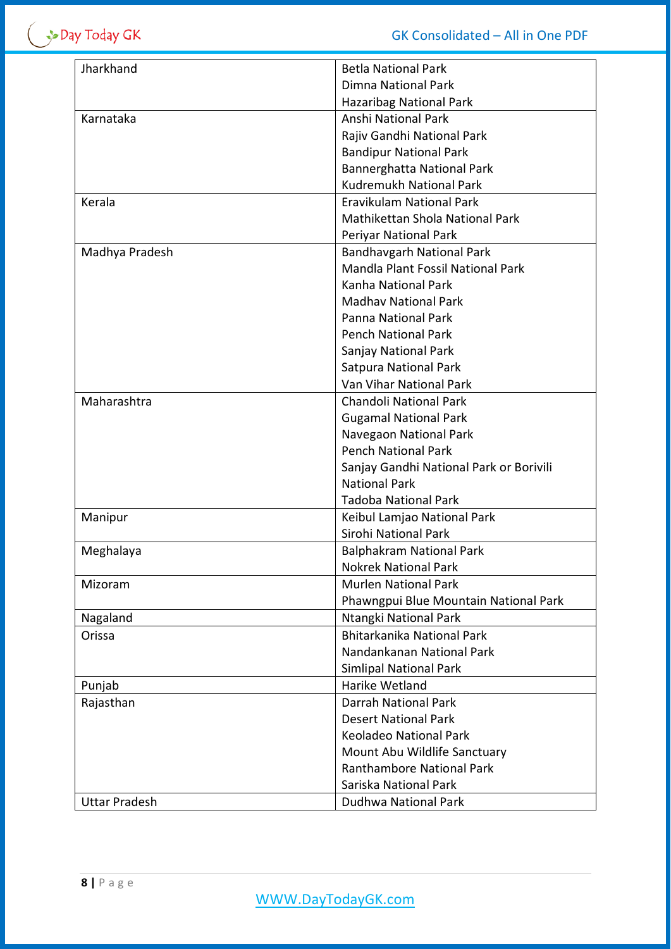$\left( \begin{array}{c} \rightarrow$ Day Today GK

| Jharkhand            | <b>Betla National Park</b>              |
|----------------------|-----------------------------------------|
|                      | <b>Dimna National Park</b>              |
|                      | <b>Hazaribag National Park</b>          |
| Karnataka            | Anshi National Park                     |
|                      | Rajiv Gandhi National Park              |
|                      | <b>Bandipur National Park</b>           |
|                      | Bannerghatta National Park              |
|                      | Kudremukh National Park                 |
| Kerala               | Eravikulam National Park                |
|                      | Mathikettan Shola National Park         |
|                      | Periyar National Park                   |
| Madhya Pradesh       | <b>Bandhavgarh National Park</b>        |
|                      | Mandla Plant Fossil National Park       |
|                      | Kanha National Park                     |
|                      | <b>Madhay National Park</b>             |
|                      | Panna National Park                     |
|                      | <b>Pench National Park</b>              |
|                      |                                         |
|                      | Sanjay National Park                    |
|                      | Satpura National Park                   |
|                      | Van Vihar National Park                 |
| Maharashtra          | <b>Chandoli National Park</b>           |
|                      | <b>Gugamal National Park</b>            |
|                      | Navegaon National Park                  |
|                      | <b>Pench National Park</b>              |
|                      | Sanjay Gandhi National Park or Borivili |
|                      | <b>National Park</b>                    |
|                      | <b>Tadoba National Park</b>             |
| Manipur              | Keibul Lamjao National Park             |
|                      | Sirohi National Park                    |
| Meghalaya            | <b>Balphakram National Park</b>         |
|                      | <b>Nokrek National Park</b>             |
| Mizoram              | <b>Murlen National Park</b>             |
|                      | Phawngpui Blue Mountain National Park   |
| Nagaland             | Ntangki National Park                   |
| Orissa               | Bhitarkanika National Park              |
|                      | Nandankanan National Park               |
|                      | <b>Simlipal National Park</b>           |
| Punjab               | Harike Wetland                          |
| Rajasthan            | <b>Darrah National Park</b>             |
|                      | <b>Desert National Park</b>             |
|                      | <b>Keoladeo National Park</b>           |
|                      | Mount Abu Wildlife Sanctuary            |
|                      | <b>Ranthambore National Park</b>        |
|                      | Sariska National Park                   |
| <b>Uttar Pradesh</b> | Dudhwa National Park                    |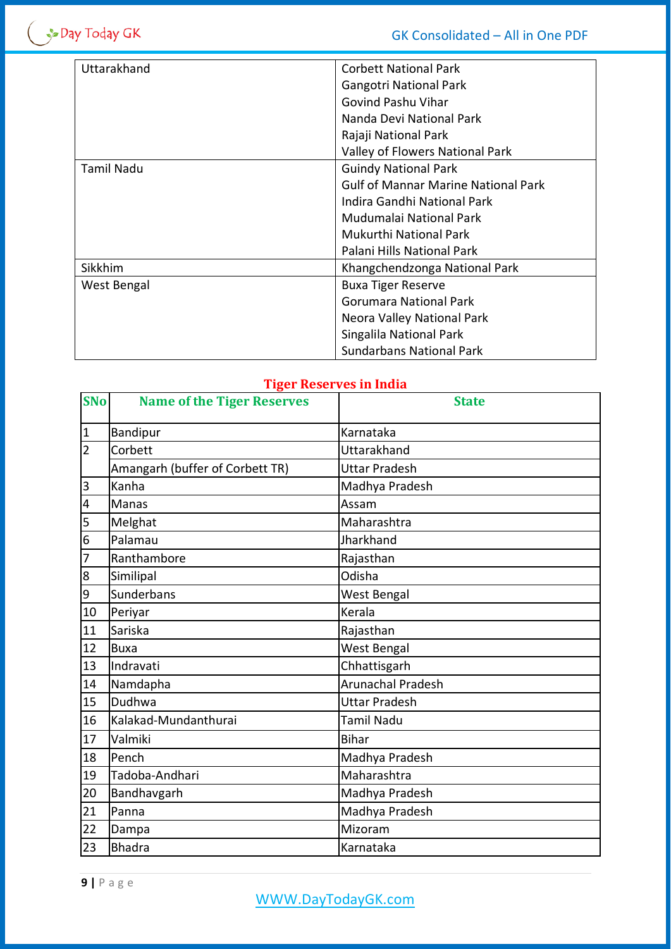| Uttarakhand       | <b>Corbett National Park</b>               |
|-------------------|--------------------------------------------|
|                   | <b>Gangotri National Park</b>              |
|                   | Govind Pashu Vihar                         |
|                   | Nanda Devi National Park                   |
|                   | Rajaji National Park                       |
|                   | Valley of Flowers National Park            |
| <b>Tamil Nadu</b> | <b>Guindy National Park</b>                |
|                   | <b>Gulf of Mannar Marine National Park</b> |
|                   | Indira Gandhi National Park                |
|                   | Mudumalai National Park                    |
|                   | <b>Mukurthi National Park</b>              |
|                   | Palani Hills National Park                 |
| <b>Sikkhim</b>    | Khangchendzonga National Park              |
| West Bengal       | <b>Buxa Tiger Reserve</b>                  |
|                   | Gorumara National Park                     |
|                   | Neora Valley National Park                 |
|                   | Singalila National Park                    |
|                   | <b>Sundarbans National Park</b>            |

# **Tiger Reserves in India**

| <b>SNo</b>     | <b>Name of the Tiger Reserves</b> | <b>State</b>         |
|----------------|-----------------------------------|----------------------|
| $\mathbf{1}$   | Bandipur                          | Karnataka            |
| $\overline{2}$ | Corbett                           | <b>Uttarakhand</b>   |
|                | Amangarh (buffer of Corbett TR)   | <b>Uttar Pradesh</b> |
| $\overline{3}$ | Kanha                             | Madhya Pradesh       |
| 4              | <b>Manas</b>                      | Assam                |
| 5              | Melghat                           | Maharashtra          |
| 6              | Palamau                           | Jharkhand            |
| 7              | Ranthambore                       | Rajasthan            |
| $\overline{8}$ | Similipal                         | Odisha               |
| 9              | Sunderbans                        | West Bengal          |
| 10             | Periyar                           | Kerala               |
| 11             | Sariska                           | Rajasthan            |
| 12             | <b>Buxa</b>                       | <b>West Bengal</b>   |
| 13             | Indravati                         | Chhattisgarh         |
| 14             | Namdapha                          | Arunachal Pradesh    |
| 15             | Dudhwa                            | <b>Uttar Pradesh</b> |
| 16             | Kalakad-Mundanthurai              | Tamil Nadu           |
| 17             | Valmiki                           | Bihar                |
| 18             | Pench                             | Madhya Pradesh       |
| 19             | Tadoba-Andhari                    | Maharashtra          |
| 20             | Bandhavgarh                       | Madhya Pradesh       |
| 21             | Panna                             | Madhya Pradesh       |
| 22             | Dampa                             | Mizoram              |
| 23             | <b>Bhadra</b>                     | Karnataka            |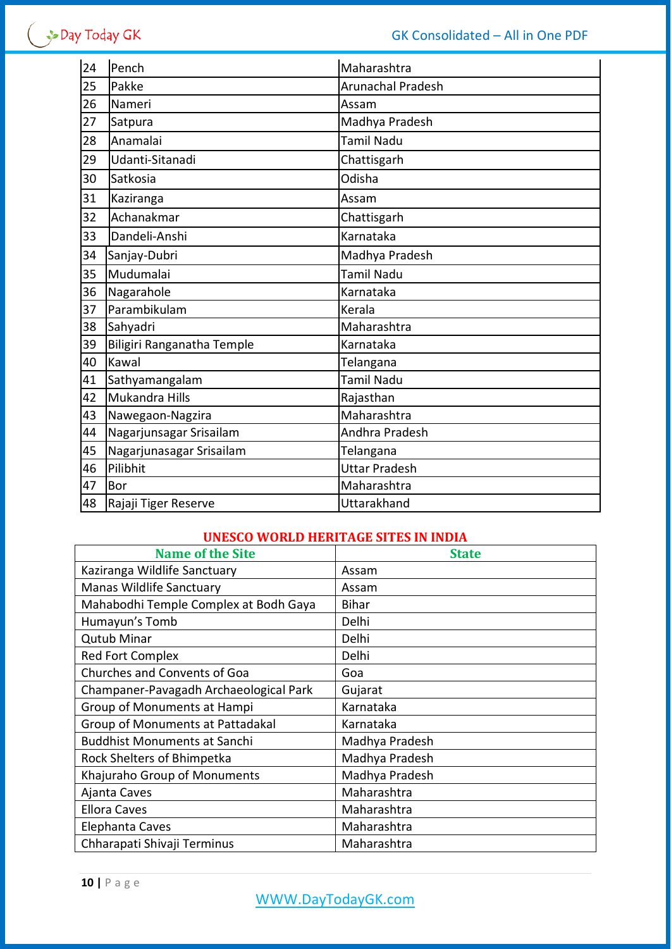| 24 | Pench                      | Maharashtra          |
|----|----------------------------|----------------------|
| 25 | Pakke                      | Arunachal Pradesh    |
| 26 | Nameri                     | Assam                |
| 27 | Satpura                    | Madhya Pradesh       |
| 28 | Anamalai                   | <b>Tamil Nadu</b>    |
| 29 | Udanti-Sitanadi            | Chattisgarh          |
| 30 | Satkosia                   | Odisha               |
| 31 | Kaziranga                  | Assam                |
| 32 | Achanakmar                 | Chattisgarh          |
| 33 | Dandeli-Anshi              | Karnataka            |
| 34 | Sanjay-Dubri               | Madhya Pradesh       |
| 35 | Mudumalai                  | <b>Tamil Nadu</b>    |
| 36 | Nagarahole                 | Karnataka            |
| 37 | Parambikulam               | Kerala               |
| 38 | Sahyadri                   | Maharashtra          |
| 39 | Biligiri Ranganatha Temple | Karnataka            |
| 40 | Kawal                      | Telangana            |
| 41 | Sathyamangalam             | Tamil Nadu           |
| 42 | Mukandra Hills             | Rajasthan            |
| 43 | Nawegaon-Nagzira           | Maharashtra          |
| 44 | Nagarjunsagar Srisailam    | Andhra Pradesh       |
| 45 | Nagarjunasagar Srisailam   | Telangana            |
| 46 | Pilibhit                   | <b>Uttar Pradesh</b> |
| 47 | Bor                        | Maharashtra          |
| 48 | Rajaji Tiger Reserve       | Uttarakhand          |

## **UNESCO WORLD HERITAGE SITES IN INDIA**

| <b>Name of the Site</b>                | <b>State</b>   |
|----------------------------------------|----------------|
| Kaziranga Wildlife Sanctuary           | Assam          |
| <b>Manas Wildlife Sanctuary</b>        | Assam          |
| Mahabodhi Temple Complex at Bodh Gaya  | <b>Bihar</b>   |
| Humayun's Tomb                         | Delhi          |
| <b>Qutub Minar</b>                     | Delhi          |
| <b>Red Fort Complex</b>                | Delhi          |
| Churches and Convents of Goa           | Goa            |
| Champaner-Pavagadh Archaeological Park | Gujarat        |
| Group of Monuments at Hampi            | Karnataka      |
| Group of Monuments at Pattadakal       | Karnataka      |
| <b>Buddhist Monuments at Sanchi</b>    | Madhya Pradesh |
| Rock Shelters of Bhimpetka             | Madhya Pradesh |
| Khajuraho Group of Monuments           | Madhya Pradesh |
| Ajanta Caves                           | Maharashtra    |
| <b>Ellora Caves</b>                    | Maharashtra    |
| Elephanta Caves                        | Maharashtra    |
| Chharapati Shivaji Terminus            | Maharashtra    |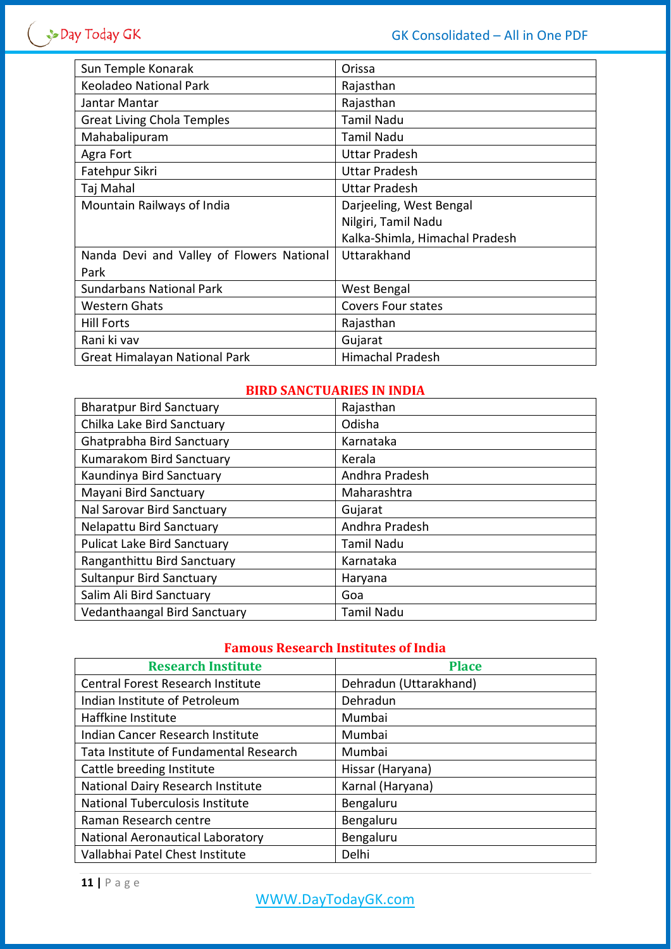| Sun Temple Konarak                        | Orissa                         |
|-------------------------------------------|--------------------------------|
| <b>Keoladeo National Park</b>             | Rajasthan                      |
| Jantar Mantar                             | Rajasthan                      |
| <b>Great Living Chola Temples</b>         | <b>Tamil Nadu</b>              |
| Mahabalipuram                             | <b>Tamil Nadu</b>              |
| Agra Fort                                 | <b>Uttar Pradesh</b>           |
| Fatehpur Sikri                            | <b>Uttar Pradesh</b>           |
| Taj Mahal                                 | <b>Uttar Pradesh</b>           |
| Mountain Railways of India                | Darjeeling, West Bengal        |
|                                           | Nilgiri, Tamil Nadu            |
|                                           | Kalka-Shimla, Himachal Pradesh |
| Nanda Devi and Valley of Flowers National | Uttarakhand                    |
| Park                                      |                                |
| <b>Sundarbans National Park</b>           | West Bengal                    |
| <b>Western Ghats</b>                      | Covers Four states             |
| <b>Hill Forts</b>                         | Rajasthan                      |
| Rani ki vav                               | Gujarat                        |
| Great Himalayan National Park             | <b>Himachal Pradesh</b>        |

# **BIRD SANCTUARIES IN INDIA**

| <b>Bharatpur Bird Sanctuary</b>    | Rajasthan      |
|------------------------------------|----------------|
| Chilka Lake Bird Sanctuary         | Odisha         |
| Ghatprabha Bird Sanctuary          | Karnataka      |
| Kumarakom Bird Sanctuary           | Kerala         |
| Kaundinya Bird Sanctuary           | Andhra Pradesh |
| Mayani Bird Sanctuary              | Maharashtra    |
| Nal Sarovar Bird Sanctuary         | Gujarat        |
| Nelapattu Bird Sanctuary           | Andhra Pradesh |
| <b>Pulicat Lake Bird Sanctuary</b> | Tamil Nadu     |
| Ranganthittu Bird Sanctuary        | Karnataka      |
| <b>Sultanpur Bird Sanctuary</b>    | Haryana        |
| Salim Ali Bird Sanctuary           | Goa            |
| Vedanthaangal Bird Sanctuary       | Tamil Nadu     |

## **Famous Research Institutes of India**

| <b>Research Institute</b>                | <b>Place</b>           |
|------------------------------------------|------------------------|
| <b>Central Forest Research Institute</b> | Dehradun (Uttarakhand) |
| Indian Institute of Petroleum            | Dehradun               |
| Haffkine Institute                       | Mumbai                 |
| Indian Cancer Research Institute         | Mumbai                 |
| Tata Institute of Fundamental Research   | Mumbai                 |
| Cattle breeding Institute                | Hissar (Haryana)       |
| National Dairy Research Institute        | Karnal (Haryana)       |
| National Tuberculosis Institute          | Bengaluru              |
| Raman Research centre                    | Bengaluru              |
| National Aeronautical Laboratory         | Bengaluru              |
| Vallabhai Patel Chest Institute          | Delhi                  |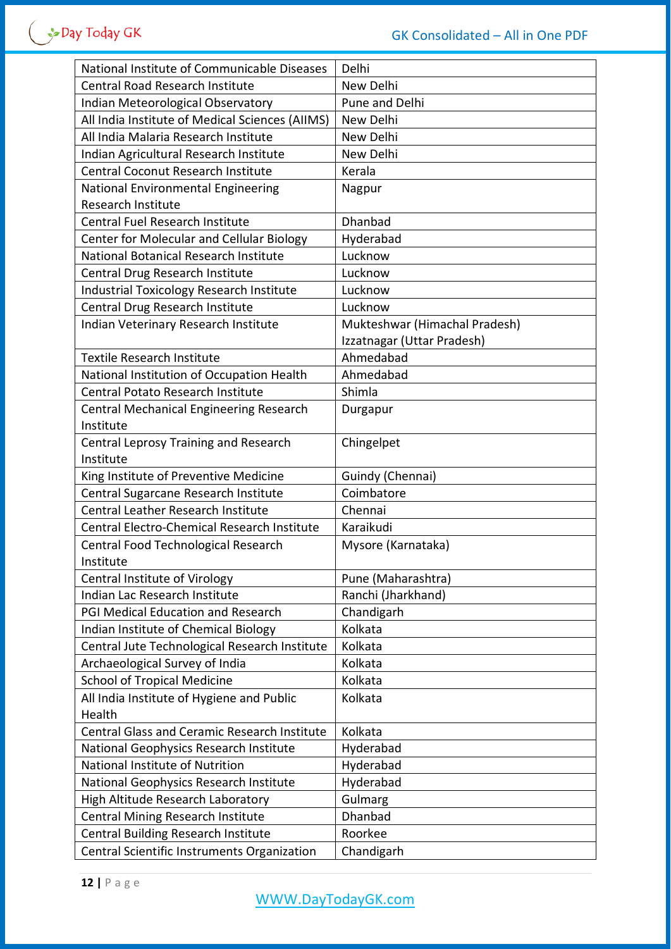| National Institute of Communicable Diseases         | Delhi                         |
|-----------------------------------------------------|-------------------------------|
| <b>Central Road Research Institute</b>              | New Delhi                     |
| Indian Meteorological Observatory                   | Pune and Delhi                |
| All India Institute of Medical Sciences (AIIMS)     | New Delhi                     |
| All India Malaria Research Institute                | New Delhi                     |
| Indian Agricultural Research Institute              | New Delhi                     |
| <b>Central Coconut Research Institute</b>           | Kerala                        |
| National Environmental Engineering                  | Nagpur                        |
| Research Institute                                  |                               |
| <b>Central Fuel Research Institute</b>              | Dhanbad                       |
| Center for Molecular and Cellular Biology           | Hyderabad                     |
| National Botanical Research Institute               | Lucknow                       |
| Central Drug Research Institute                     | Lucknow                       |
| <b>Industrial Toxicology Research Institute</b>     | Lucknow                       |
| Central Drug Research Institute                     | Lucknow                       |
| Indian Veterinary Research Institute                | Mukteshwar (Himachal Pradesh) |
|                                                     | Izzatnagar (Uttar Pradesh)    |
| <b>Textile Research Institute</b>                   | Ahmedabad                     |
| National Institution of Occupation Health           | Ahmedabad                     |
| <b>Central Potato Research Institute</b>            | Shimla                        |
| <b>Central Mechanical Engineering Research</b>      | Durgapur                      |
| Institute                                           |                               |
| Central Leprosy Training and Research               | Chingelpet                    |
| Institute                                           |                               |
| King Institute of Preventive Medicine               | Guindy (Chennai)              |
| Central Sugarcane Research Institute                | Coimbatore                    |
| <b>Central Leather Research Institute</b>           | Chennai                       |
| Central Electro-Chemical Research Institute         | Karaikudi                     |
| Central Food Technological Research                 | Mysore (Karnataka)            |
| Institute                                           |                               |
| <b>Central Institute of Virology</b>                | Pune (Maharashtra)            |
| Indian Lac Research Institute                       | Ranchi (Jharkhand)            |
| PGI Medical Education and Research                  | Chandigarh                    |
| Indian Institute of Chemical Biology                | Kolkata                       |
| Central Jute Technological Research Institute       | Kolkata                       |
| Archaeological Survey of India                      | Kolkata                       |
| <b>School of Tropical Medicine</b>                  | Kolkata                       |
| All India Institute of Hygiene and Public           | Kolkata                       |
| Health                                              |                               |
| <b>Central Glass and Ceramic Research Institute</b> | Kolkata                       |
| National Geophysics Research Institute              | Hyderabad                     |
| National Institute of Nutrition                     | Hyderabad                     |
| National Geophysics Research Institute              | Hyderabad                     |
| High Altitude Research Laboratory                   | Gulmarg                       |
| <b>Central Mining Research Institute</b>            | Dhanbad                       |
| Central Building Research Institute                 | Roorkee                       |
| Central Scientific Instruments Organization         | Chandigarh                    |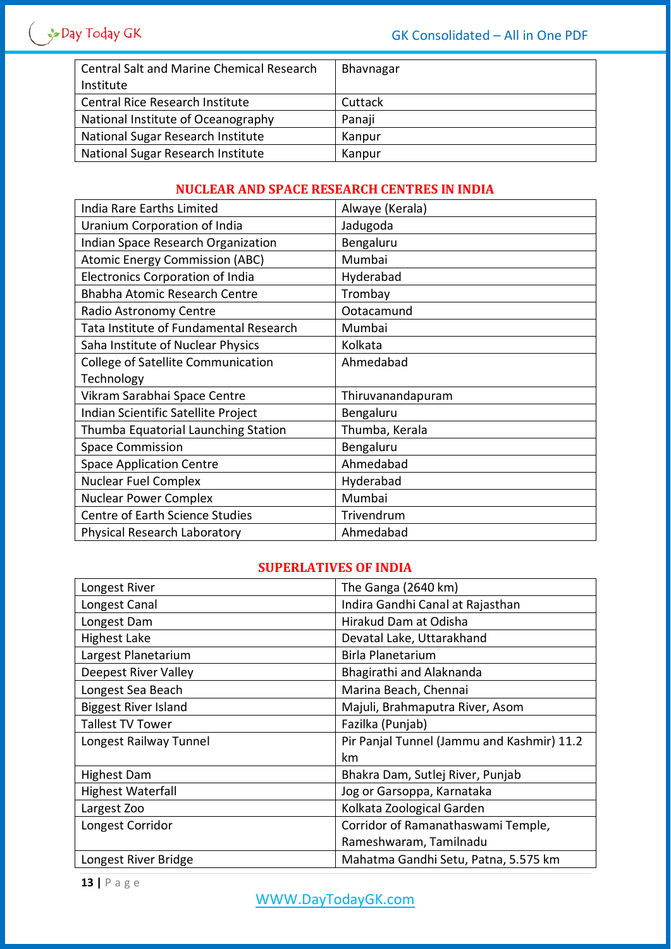| <b>Central Salt and Marine Chemical Research</b> | Bhavnagar |
|--------------------------------------------------|-----------|
| Institute                                        |           |
| Central Rice Research Institute                  | Cuttack   |
| National Institute of Oceanography               | Panaji    |
| National Sugar Research Institute                | Kanpur    |
| National Sugar Research Institute                | Kanpur    |

## **NUCLEAR AND SPACE RESEARCH CENTRES IN INDIA**

| India Rare Earths Limited               | Alwaye (Kerala)   |
|-----------------------------------------|-------------------|
| Uranium Corporation of India            | Jadugoda          |
| Indian Space Research Organization      | Bengaluru         |
| <b>Atomic Energy Commission (ABC)</b>   | Mumbai            |
| <b>Electronics Corporation of India</b> | Hyderabad         |
| <b>Bhabha Atomic Research Centre</b>    | Trombay           |
| Radio Astronomy Centre                  | Ootacamund        |
| Tata Institute of Fundamental Research  | Mumbai            |
| Saha Institute of Nuclear Physics       | Kolkata           |
| College of Satellite Communication      | Ahmedabad         |
| Technology                              |                   |
| Vikram Sarabhai Space Centre            | Thiruvanandapuram |
| Indian Scientific Satellite Project     | Bengaluru         |
| Thumba Equatorial Launching Station     | Thumba, Kerala    |
| <b>Space Commission</b>                 | Bengaluru         |
| <b>Space Application Centre</b>         | Ahmedabad         |
| <b>Nuclear Fuel Complex</b>             | Hyderabad         |
| <b>Nuclear Power Complex</b>            | Mumbai            |
| <b>Centre of Earth Science Studies</b>  | Trivendrum        |
| Physical Research Laboratory            | Ahmedabad         |

## **SUPERLATIVES OF INDIA**

| Longest River               | The Ganga (2640 km)                        |
|-----------------------------|--------------------------------------------|
| Longest Canal               | Indira Gandhi Canal at Rajasthan           |
| Longest Dam                 | Hirakud Dam at Odisha                      |
| <b>Highest Lake</b>         | Devatal Lake, Uttarakhand                  |
| Largest Planetarium         | <b>Birla Planetarium</b>                   |
| <b>Deepest River Valley</b> | Bhagirathi and Alaknanda                   |
| Longest Sea Beach           | Marina Beach, Chennai                      |
| <b>Biggest River Island</b> | Majuli, Brahmaputra River, Asom            |
| <b>Tallest TV Tower</b>     | Fazilka (Punjab)                           |
| Longest Railway Tunnel      | Pir Panjal Tunnel (Jammu and Kashmir) 11.2 |
|                             | km                                         |
| <b>Highest Dam</b>          | Bhakra Dam, Sutlej River, Punjab           |
| <b>Highest Waterfall</b>    | Jog or Garsoppa, Karnataka                 |
| Largest Zoo                 | Kolkata Zoological Garden                  |
| Longest Corridor            | Corridor of Ramanathaswami Temple,         |
|                             | Rameshwaram, Tamilnadu                     |
| Longest River Bridge        | Mahatma Gandhi Setu, Patna, 5.575 km       |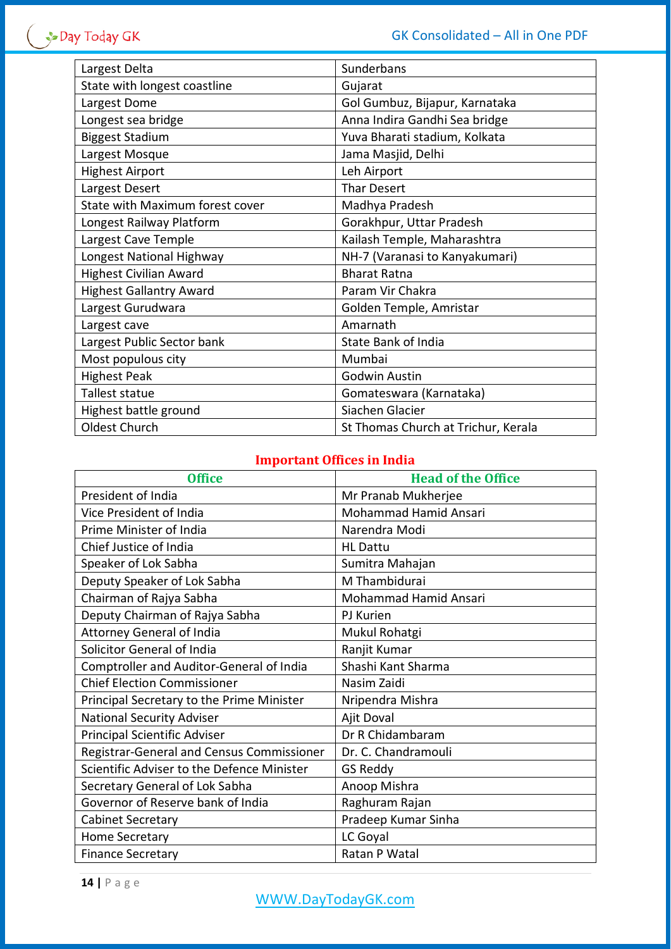| Largest Delta                   | Sunderbans                          |
|---------------------------------|-------------------------------------|
| State with longest coastline    | Gujarat                             |
| Largest Dome                    | Gol Gumbuz, Bijapur, Karnataka      |
| Longest sea bridge              | Anna Indira Gandhi Sea bridge       |
| <b>Biggest Stadium</b>          | Yuva Bharati stadium, Kolkata       |
| Largest Mosque                  | Jama Masjid, Delhi                  |
| <b>Highest Airport</b>          | Leh Airport                         |
| Largest Desert                  | <b>Thar Desert</b>                  |
| State with Maximum forest cover | Madhya Pradesh                      |
| Longest Railway Platform        | Gorakhpur, Uttar Pradesh            |
| Largest Cave Temple             | Kailash Temple, Maharashtra         |
| Longest National Highway        | NH-7 (Varanasi to Kanyakumari)      |
| <b>Highest Civilian Award</b>   | <b>Bharat Ratna</b>                 |
| <b>Highest Gallantry Award</b>  | Param Vir Chakra                    |
| Largest Gurudwara               | Golden Temple, Amristar             |
| Largest cave                    | Amarnath                            |
| Largest Public Sector bank      | State Bank of India                 |
| Most populous city              | Mumbai                              |
| <b>Highest Peak</b>             | <b>Godwin Austin</b>                |
| Tallest statue                  | Gomateswara (Karnataka)             |
| Highest battle ground           | Siachen Glacier                     |
| Oldest Church                   | St Thomas Church at Trichur, Kerala |

# **Important Offices in India**

| <b>Office</b>                              | <b>Head of the Office</b> |
|--------------------------------------------|---------------------------|
| President of India                         | Mr Pranab Mukherjee       |
| Vice President of India                    | Mohammad Hamid Ansari     |
| Prime Minister of India                    | Narendra Modi             |
| Chief Justice of India                     | <b>HL Dattu</b>           |
| Speaker of Lok Sabha                       | Sumitra Mahajan           |
| Deputy Speaker of Lok Sabha                | M Thambidurai             |
| Chairman of Rajya Sabha                    | Mohammad Hamid Ansari     |
| Deputy Chairman of Rajya Sabha             | PJ Kurien                 |
| <b>Attorney General of India</b>           | Mukul Rohatgi             |
| Solicitor General of India                 | Ranjit Kumar              |
| Comptroller and Auditor-General of India   | Shashi Kant Sharma        |
| <b>Chief Election Commissioner</b>         | Nasim Zaidi               |
| Principal Secretary to the Prime Minister  | Nripendra Mishra          |
| <b>National Security Adviser</b>           | Ajit Doval                |
| <b>Principal Scientific Adviser</b>        | Dr R Chidambaram          |
| Registrar-General and Census Commissioner  | Dr. C. Chandramouli       |
| Scientific Adviser to the Defence Minister | <b>GS Reddy</b>           |
| Secretary General of Lok Sabha             | Anoop Mishra              |
| Governor of Reserve bank of India          | Raghuram Rajan            |
| <b>Cabinet Secretary</b>                   | Pradeep Kumar Sinha       |
| Home Secretary                             | LC Goyal                  |
| <b>Finance Secretary</b>                   | Ratan P Watal             |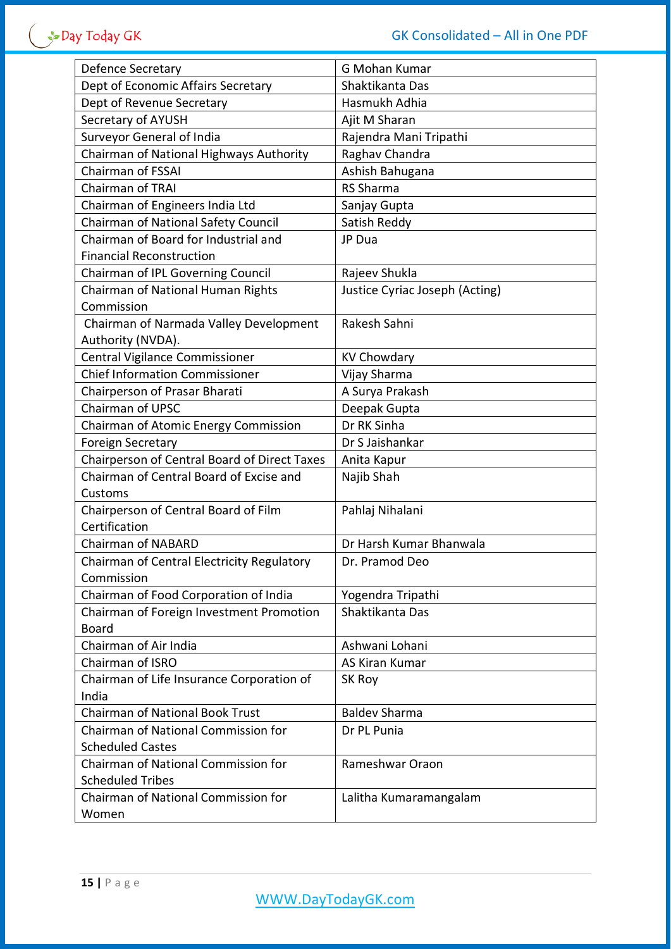| Defence Secretary                            | G Mohan Kumar                  |
|----------------------------------------------|--------------------------------|
| Dept of Economic Affairs Secretary           | Shaktikanta Das                |
| Dept of Revenue Secretary                    | Hasmukh Adhia                  |
| Secretary of AYUSH                           | Ajit M Sharan                  |
| Surveyor General of India                    | Rajendra Mani Tripathi         |
| Chairman of National Highways Authority      | Raghav Chandra                 |
| <b>Chairman of FSSAI</b>                     | Ashish Bahugana                |
| <b>Chairman of TRAI</b>                      | <b>RS Sharma</b>               |
| Chairman of Engineers India Ltd              | Sanjay Gupta                   |
| Chairman of National Safety Council          | Satish Reddy                   |
| Chairman of Board for Industrial and         | JP Dua                         |
| <b>Financial Reconstruction</b>              |                                |
| Chairman of IPL Governing Council            | Rajeev Shukla                  |
| Chairman of National Human Rights            | Justice Cyriac Joseph (Acting) |
| Commission                                   |                                |
| Chairman of Narmada Valley Development       | Rakesh Sahni                   |
| Authority (NVDA).                            |                                |
| Central Vigilance Commissioner               | <b>KV Chowdary</b>             |
| <b>Chief Information Commissioner</b>        | Vijay Sharma                   |
| Chairperson of Prasar Bharati                | A Surya Prakash                |
| Chairman of UPSC                             | Deepak Gupta                   |
| Chairman of Atomic Energy Commission         | Dr RK Sinha                    |
| <b>Foreign Secretary</b>                     | Dr S Jaishankar                |
| Chairperson of Central Board of Direct Taxes | Anita Kapur                    |
| Chairman of Central Board of Excise and      | Najib Shah                     |
| Customs                                      |                                |
| Chairperson of Central Board of Film         | Pahlaj Nihalani                |
| Certification                                |                                |
| <b>Chairman of NABARD</b>                    | Dr Harsh Kumar Bhanwala        |
| Chairman of Central Electricity Regulatory   | Dr. Pramod Deo                 |
| Commission                                   |                                |
| Chairman of Food Corporation of India        | Yogendra Tripathi              |
| Chairman of Foreign Investment Promotion     | Shaktikanta Das                |
| <b>Board</b>                                 |                                |
| Chairman of Air India                        | Ashwani Lohani                 |
| Chairman of ISRO                             | AS Kiran Kumar                 |
| Chairman of Life Insurance Corporation of    | SK Roy                         |
| India                                        |                                |
| <b>Chairman of National Book Trust</b>       | <b>Baldev Sharma</b>           |
| Chairman of National Commission for          | Dr PL Punia                    |
| <b>Scheduled Castes</b>                      |                                |
| Chairman of National Commission for          | Rameshwar Oraon                |
| <b>Scheduled Tribes</b>                      |                                |
| Chairman of National Commission for          | Lalitha Kumaramangalam         |
| Women                                        |                                |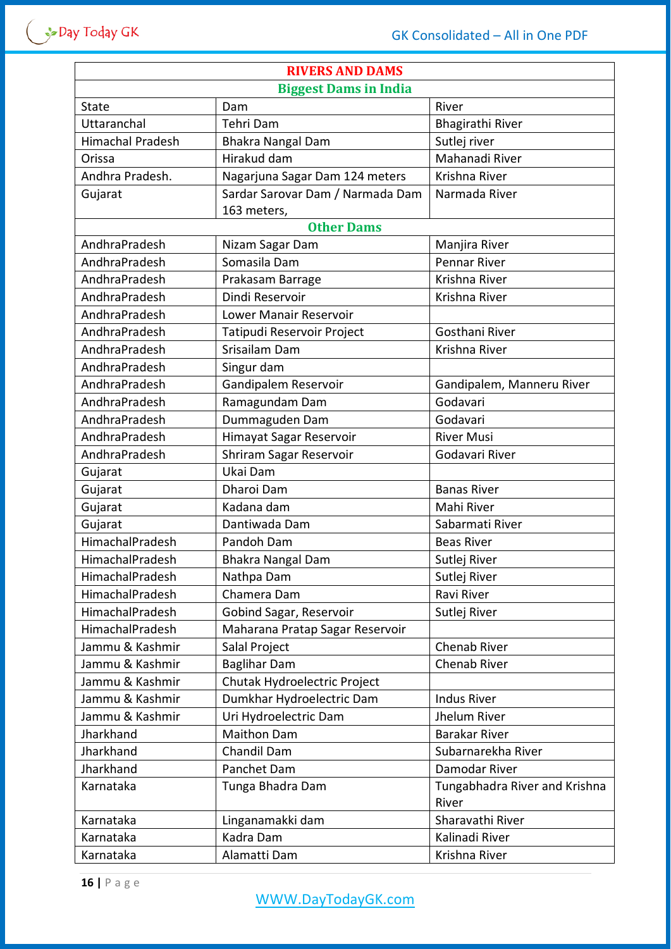| <b>RIVERS AND DAMS</b>       |                                  |                               |  |
|------------------------------|----------------------------------|-------------------------------|--|
| <b>Biggest Dams in India</b> |                                  |                               |  |
| <b>State</b>                 | Dam                              | River                         |  |
| Uttaranchal                  | Tehri Dam                        | Bhagirathi River              |  |
| <b>Himachal Pradesh</b>      | <b>Bhakra Nangal Dam</b>         | Sutlej river                  |  |
| Orissa                       | Hirakud dam                      | Mahanadi River                |  |
| Andhra Pradesh.              | Nagarjuna Sagar Dam 124 meters   | Krishna River                 |  |
| Gujarat                      | Sardar Sarovar Dam / Narmada Dam | Narmada River                 |  |
|                              | 163 meters,                      |                               |  |
|                              | <b>Other Dams</b>                |                               |  |
| AndhraPradesh                | Nizam Sagar Dam                  | Manjira River                 |  |
| AndhraPradesh                | Somasila Dam                     | <b>Pennar River</b>           |  |
| AndhraPradesh                | Prakasam Barrage                 | Krishna River                 |  |
| AndhraPradesh                | Dindi Reservoir                  | Krishna River                 |  |
| AndhraPradesh                | <b>Lower Manair Reservoir</b>    |                               |  |
| AndhraPradesh                | Tatipudi Reservoir Project       | Gosthani River                |  |
| AndhraPradesh                | Srisailam Dam                    | Krishna River                 |  |
| AndhraPradesh                | Singur dam                       |                               |  |
| AndhraPradesh                | Gandipalem Reservoir             | Gandipalem, Manneru River     |  |
| AndhraPradesh                | Ramagundam Dam                   | Godavari                      |  |
| AndhraPradesh                | Dummaguden Dam                   | Godavari                      |  |
| AndhraPradesh                | Himayat Sagar Reservoir          | <b>River Musi</b>             |  |
| AndhraPradesh                | Shriram Sagar Reservoir          | Godavari River                |  |
| Gujarat                      | Ukai Dam                         |                               |  |
| Gujarat                      | Dharoi Dam                       | <b>Banas River</b>            |  |
| Gujarat                      | Kadana dam                       | Mahi River                    |  |
| Gujarat                      | Dantiwada Dam                    | Sabarmati River               |  |
| HimachalPradesh              | Pandoh Dam                       | <b>Beas River</b>             |  |
| HimachalPradesh              | <b>Bhakra Nangal Dam</b>         | Sutlej River                  |  |
| HimachalPradesh              | Nathpa Dam                       | Sutlej River                  |  |
| HimachalPradesh              | Chamera Dam                      | Ravi River                    |  |
| HimachalPradesh              | Gobind Sagar, Reservoir          | Sutlej River                  |  |
| HimachalPradesh              | Maharana Pratap Sagar Reservoir  |                               |  |
| Jammu & Kashmir              | Salal Project                    | <b>Chenab River</b>           |  |
| Jammu & Kashmir              | <b>Baglihar Dam</b>              | <b>Chenab River</b>           |  |
| Jammu & Kashmir              | Chutak Hydroelectric Project     |                               |  |
| Jammu & Kashmir              | Dumkhar Hydroelectric Dam        | <b>Indus River</b>            |  |
| Jammu & Kashmir              | Uri Hydroelectric Dam            | Jhelum River                  |  |
| Jharkhand                    | <b>Maithon Dam</b>               | <b>Barakar River</b>          |  |
| Jharkhand                    | Chandil Dam                      | Subarnarekha River            |  |
| Jharkhand                    | Panchet Dam                      | Damodar River                 |  |
| Karnataka                    | Tunga Bhadra Dam                 | Tungabhadra River and Krishna |  |
|                              |                                  | River                         |  |
| Karnataka                    | Linganamakki dam                 | Sharavathi River              |  |
| Karnataka                    | Kadra Dam                        | Kalinadi River                |  |
| Karnataka                    | Alamatti Dam                     | Krishna River                 |  |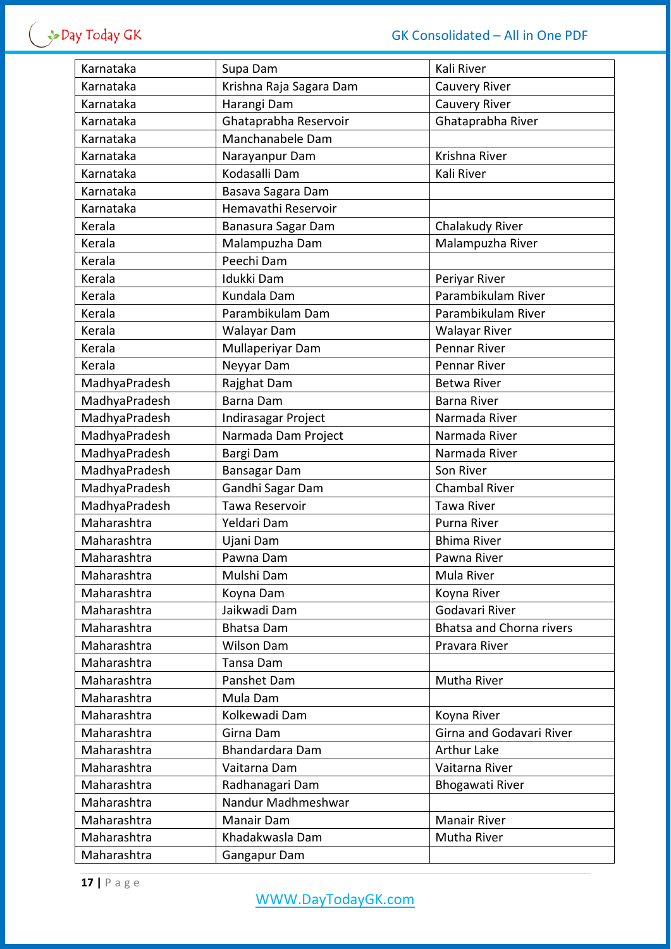| Karnataka     | Supa Dam                | Kali River                      |
|---------------|-------------------------|---------------------------------|
| Karnataka     | Krishna Raja Sagara Dam | <b>Cauvery River</b>            |
| Karnataka     | Harangi Dam             | <b>Cauvery River</b>            |
| Karnataka     | Ghataprabha Reservoir   | Ghataprabha River               |
| Karnataka     | Manchanabele Dam        |                                 |
| Karnataka     | Narayanpur Dam          | Krishna River                   |
| Karnataka     | Kodasalli Dam           | Kali River                      |
| Karnataka     | Basava Sagara Dam       |                                 |
| Karnataka     | Hemavathi Reservoir     |                                 |
| Kerala        | Banasura Sagar Dam      | Chalakudy River                 |
| Kerala        | Malampuzha Dam          | Malampuzha River                |
| Kerala        | Peechi Dam              |                                 |
| Kerala        | Idukki Dam              | Periyar River                   |
| Kerala        | Kundala Dam             | Parambikulam River              |
| Kerala        | Parambikulam Dam        | Parambikulam River              |
| Kerala        | Walayar Dam             | <b>Walayar River</b>            |
| Kerala        | Mullaperiyar Dam        | Pennar River                    |
| Kerala        | Neyyar Dam              | <b>Pennar River</b>             |
| MadhyaPradesh | Rajghat Dam             | <b>Betwa River</b>              |
| MadhyaPradesh | Barna Dam               | <b>Barna River</b>              |
| MadhyaPradesh | Indirasagar Project     | Narmada River                   |
| MadhyaPradesh | Narmada Dam Project     | Narmada River                   |
| MadhyaPradesh | Bargi Dam               | Narmada River                   |
| MadhyaPradesh | <b>Bansagar Dam</b>     | Son River                       |
| MadhyaPradesh | Gandhi Sagar Dam        | <b>Chambal River</b>            |
| MadhyaPradesh | Tawa Reservoir          | <b>Tawa River</b>               |
| Maharashtra   | Yeldari Dam             | Purna River                     |
| Maharashtra   | Ujani Dam               | <b>Bhima River</b>              |
| Maharashtra   | Pawna Dam               | Pawna River                     |
| Maharashtra   | Mulshi Dam              | Mula River                      |
| Maharashtra   | Koyna Dam               | Koyna River                     |
| Maharashtra   | Jaikwadi Dam            | Godavari River                  |
| Maharashtra   | <b>Bhatsa Dam</b>       | <b>Bhatsa and Chorna rivers</b> |
| Maharashtra   | <b>Wilson Dam</b>       | Pravara River                   |
| Maharashtra   | Tansa Dam               |                                 |
| Maharashtra   | Panshet Dam             | Mutha River                     |
| Maharashtra   | Mula Dam                |                                 |
| Maharashtra   | Kolkewadi Dam           | Koyna River                     |
| Maharashtra   | Girna Dam               | Girna and Godavari River        |
| Maharashtra   | Bhandardara Dam         | <b>Arthur Lake</b>              |
| Maharashtra   | Vaitarna Dam            | Vaitarna River                  |
| Maharashtra   | Radhanagari Dam         | <b>Bhogawati River</b>          |
| Maharashtra   | Nandur Madhmeshwar      |                                 |
| Maharashtra   | Manair Dam              | <b>Manair River</b>             |
| Maharashtra   | Khadakwasla Dam         | Mutha River                     |
| Maharashtra   | Gangapur Dam            |                                 |
|               |                         |                                 |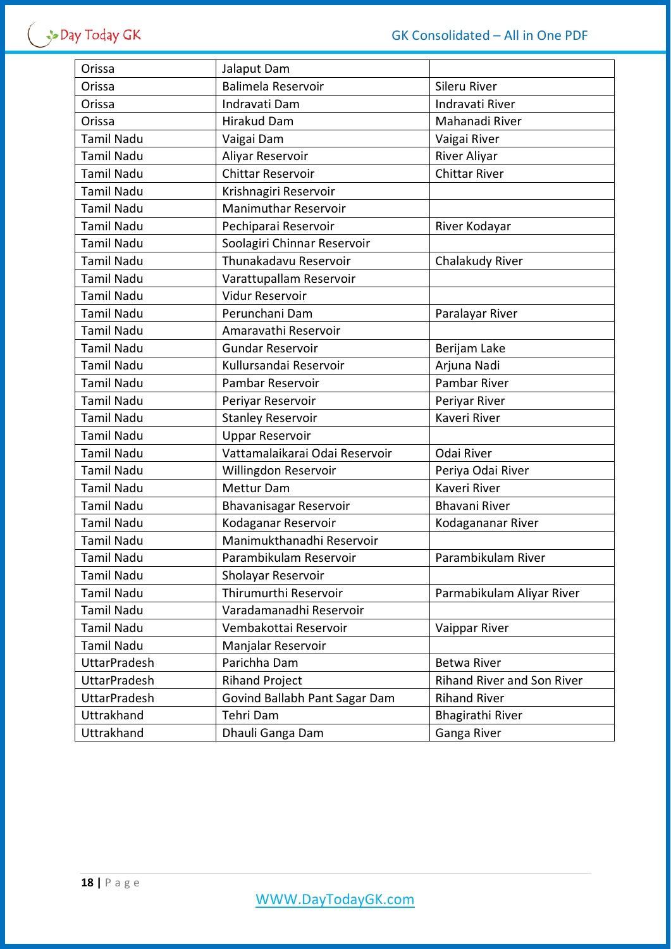| Orissa              | Jalaput Dam                    |                            |
|---------------------|--------------------------------|----------------------------|
| Orissa              | Balimela Reservoir             | Sileru River               |
| Orissa              | Indravati Dam                  | Indravati River            |
| Orissa              | <b>Hirakud Dam</b>             | Mahanadi River             |
| <b>Tamil Nadu</b>   | Vaigai Dam                     | Vaigai River               |
| <b>Tamil Nadu</b>   | Aliyar Reservoir               | River Aliyar               |
| <b>Tamil Nadu</b>   | <b>Chittar Reservoir</b>       | <b>Chittar River</b>       |
| <b>Tamil Nadu</b>   | Krishnagiri Reservoir          |                            |
| <b>Tamil Nadu</b>   | <b>Manimuthar Reservoir</b>    |                            |
| <b>Tamil Nadu</b>   | Pechiparai Reservoir           | River Kodayar              |
| <b>Tamil Nadu</b>   | Soolagiri Chinnar Reservoir    |                            |
| <b>Tamil Nadu</b>   | Thunakadavu Reservoir          | Chalakudy River            |
| <b>Tamil Nadu</b>   | Varattupallam Reservoir        |                            |
| <b>Tamil Nadu</b>   | <b>Vidur Reservoir</b>         |                            |
| <b>Tamil Nadu</b>   | Perunchani Dam                 | Paralayar River            |
| <b>Tamil Nadu</b>   | Amaravathi Reservoir           |                            |
| <b>Tamil Nadu</b>   | <b>Gundar Reservoir</b>        | Berijam Lake               |
| <b>Tamil Nadu</b>   | Kullursandai Reservoir         | Arjuna Nadi                |
| <b>Tamil Nadu</b>   | Pambar Reservoir               | Pambar River               |
| <b>Tamil Nadu</b>   | Periyar Reservoir              | Periyar River              |
| <b>Tamil Nadu</b>   | <b>Stanley Reservoir</b>       | Kaveri River               |
| <b>Tamil Nadu</b>   | <b>Uppar Reservoir</b>         |                            |
| <b>Tamil Nadu</b>   | Vattamalaikarai Odai Reservoir | Odai River                 |
| <b>Tamil Nadu</b>   | Willingdon Reservoir           | Periya Odai River          |
| <b>Tamil Nadu</b>   | Mettur Dam                     | Kaveri River               |
| <b>Tamil Nadu</b>   | Bhavanisagar Reservoir         | <b>Bhavani River</b>       |
| <b>Tamil Nadu</b>   | Kodaganar Reservoir            | Kodagananar River          |
| <b>Tamil Nadu</b>   | Manimukthanadhi Reservoir      |                            |
| <b>Tamil Nadu</b>   | Parambikulam Reservoir         | Parambikulam River         |
| <b>Tamil Nadu</b>   | Sholayar Reservoir             |                            |
| <b>Tamil Nadu</b>   | Thirumurthi Reservoir          | Parmabikulam Aliyar River  |
| <b>Tamil Nadu</b>   | Varadamanadhi Reservoir        |                            |
| <b>Tamil Nadu</b>   | Vembakottai Reservoir          | Vaippar River              |
| <b>Tamil Nadu</b>   | Manjalar Reservoir             |                            |
| <b>UttarPradesh</b> | Parichha Dam                   | <b>Betwa River</b>         |
| <b>UttarPradesh</b> | <b>Rihand Project</b>          | Rihand River and Son River |
| UttarPradesh        | Govind Ballabh Pant Sagar Dam  | <b>Rihand River</b>        |
| Uttrakhand          | Tehri Dam                      | Bhagirathi River           |
| Uttrakhand          | Dhauli Ganga Dam               | Ganga River                |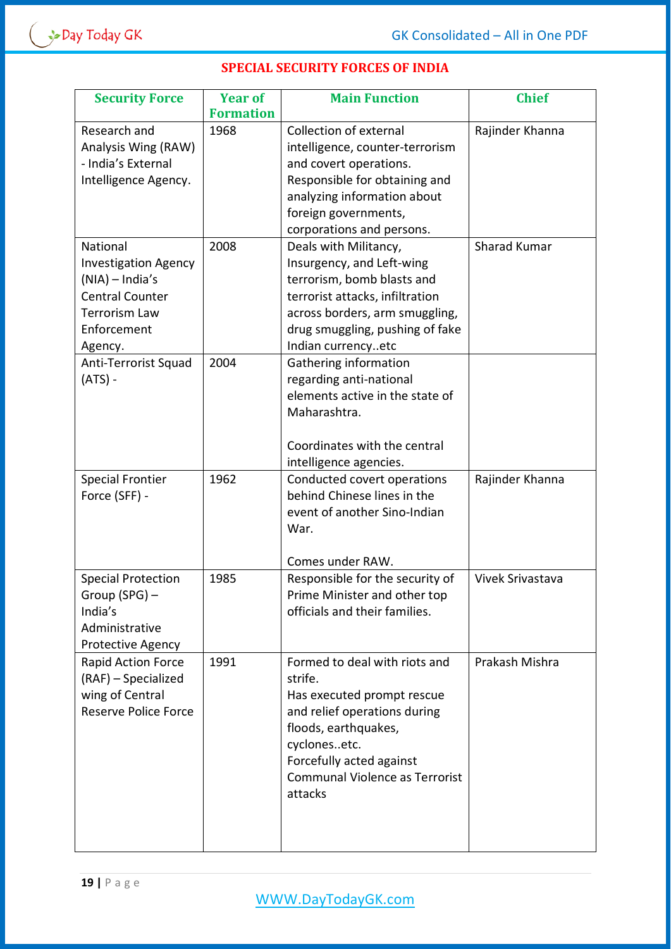|  | <b>SPECIAL SECURITY FORCES OF INDIA</b> |  |  |
|--|-----------------------------------------|--|--|
|--|-----------------------------------------|--|--|

| <b>Security Force</b>       | <b>Year of</b>   | <b>Main Function</b>                  | <b>Chief</b>     |
|-----------------------------|------------------|---------------------------------------|------------------|
|                             | <b>Formation</b> |                                       |                  |
| Research and                | 1968             | <b>Collection of external</b>         | Rajinder Khanna  |
| Analysis Wing (RAW)         |                  | intelligence, counter-terrorism       |                  |
| - India's External          |                  | and covert operations.                |                  |
| Intelligence Agency.        |                  | Responsible for obtaining and         |                  |
|                             |                  | analyzing information about           |                  |
|                             |                  | foreign governments,                  |                  |
|                             |                  | corporations and persons.             |                  |
| National                    | 2008             | Deals with Militancy,                 | Sharad Kumar     |
| <b>Investigation Agency</b> |                  | Insurgency, and Left-wing             |                  |
| (NIA) - India's             |                  | terrorism, bomb blasts and            |                  |
| <b>Central Counter</b>      |                  | terrorist attacks, infiltration       |                  |
| <b>Terrorism Law</b>        |                  | across borders, arm smuggling,        |                  |
| Enforcement                 |                  | drug smuggling, pushing of fake       |                  |
| Agency.                     |                  | Indian currencyetc                    |                  |
| Anti-Terrorist Squad        | 2004             | Gathering information                 |                  |
| (ATS) -                     |                  | regarding anti-national               |                  |
|                             |                  | elements active in the state of       |                  |
|                             |                  | Maharashtra.                          |                  |
|                             |                  |                                       |                  |
|                             |                  | Coordinates with the central          |                  |
|                             |                  | intelligence agencies.                |                  |
| <b>Special Frontier</b>     | 1962             | Conducted covert operations           | Rajinder Khanna  |
| Force (SFF) -               |                  | behind Chinese lines in the           |                  |
|                             |                  | event of another Sino-Indian          |                  |
|                             |                  | War.                                  |                  |
|                             |                  |                                       |                  |
|                             |                  | Comes under RAW.                      |                  |
| <b>Special Protection</b>   | 1985             | Responsible for the security of       | Vivek Srivastava |
| Group (SPG) -               |                  | Prime Minister and other top          |                  |
| India's                     |                  | officials and their families.         |                  |
| Administrative              |                  |                                       |                  |
| Protective Agency           |                  |                                       |                  |
| Rapid Action Force          | 1991             | Formed to deal with riots and         | Prakash Mishra   |
| (RAF) - Specialized         |                  | strife.                               |                  |
| wing of Central             |                  | Has executed prompt rescue            |                  |
| <b>Reserve Police Force</b> |                  | and relief operations during          |                  |
|                             |                  | floods, earthquakes,                  |                  |
|                             |                  | cyclonesetc.                          |                  |
|                             |                  | Forcefully acted against              |                  |
|                             |                  | <b>Communal Violence as Terrorist</b> |                  |
|                             |                  | attacks                               |                  |
|                             |                  |                                       |                  |
|                             |                  |                                       |                  |
|                             |                  |                                       |                  |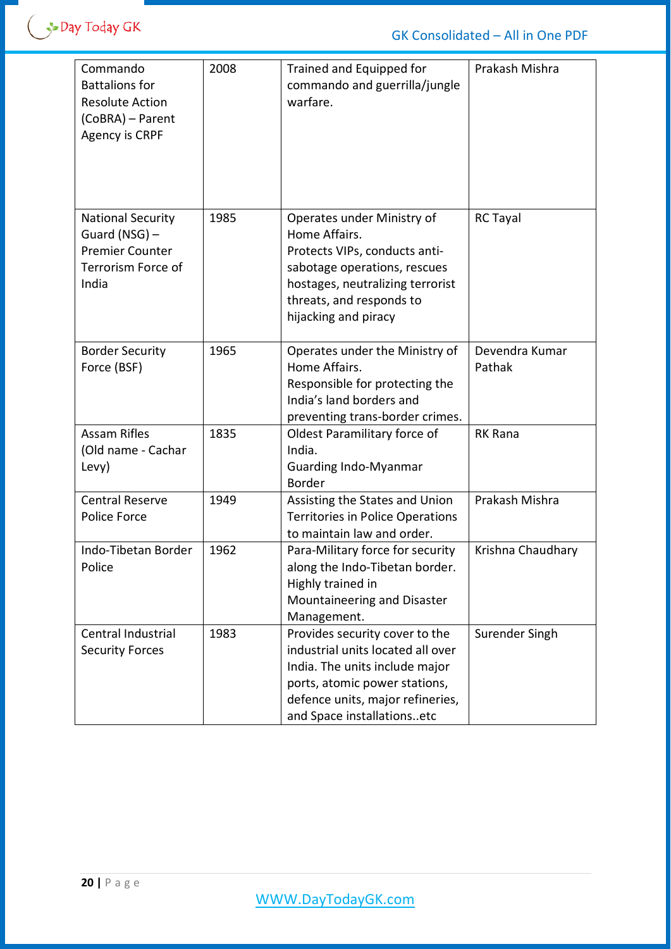| Commando<br><b>Battalions for</b><br><b>Resolute Action</b><br>(CoBRA) - Parent<br><b>Agency is CRPF</b> | 2008 | Trained and Equipped for<br>commando and guerrilla/jungle<br>warfare.                                                                                                                                    | Prakash Mishra           |
|----------------------------------------------------------------------------------------------------------|------|----------------------------------------------------------------------------------------------------------------------------------------------------------------------------------------------------------|--------------------------|
| <b>National Security</b><br>Guard (NSG) $-$<br><b>Premier Counter</b><br>Terrorism Force of<br>India     | 1985 | Operates under Ministry of<br>Home Affairs.<br>Protects VIPs, conducts anti-<br>sabotage operations, rescues<br>hostages, neutralizing terrorist<br>threats, and responds to<br>hijacking and piracy     | <b>RC Tayal</b>          |
| <b>Border Security</b><br>Force (BSF)                                                                    | 1965 | Operates under the Ministry of<br>Home Affairs.<br>Responsible for protecting the<br>India's land borders and<br>preventing trans-border crimes.                                                         | Devendra Kumar<br>Pathak |
| <b>Assam Rifles</b><br>(Old name - Cachar<br>Levy)                                                       | 1835 | Oldest Paramilitary force of<br>India.<br><b>Guarding Indo-Myanmar</b><br><b>Border</b>                                                                                                                  | <b>RK Rana</b>           |
| <b>Central Reserve</b><br>Police Force                                                                   | 1949 | Assisting the States and Union<br><b>Territories in Police Operations</b><br>to maintain law and order.                                                                                                  | Prakash Mishra           |
| Indo-Tibetan Border<br>Police                                                                            | 1962 | Para-Military force for security<br>along the Indo-Tibetan border.<br>Highly trained in<br>Mountaineering and Disaster<br>Management.                                                                    | Krishna Chaudhary        |
| Central Industrial<br><b>Security Forces</b>                                                             | 1983 | Provides security cover to the<br>industrial units located all over<br>India. The units include major<br>ports, atomic power stations,<br>defence units, major refineries,<br>and Space installationsetc | Surender Singh           |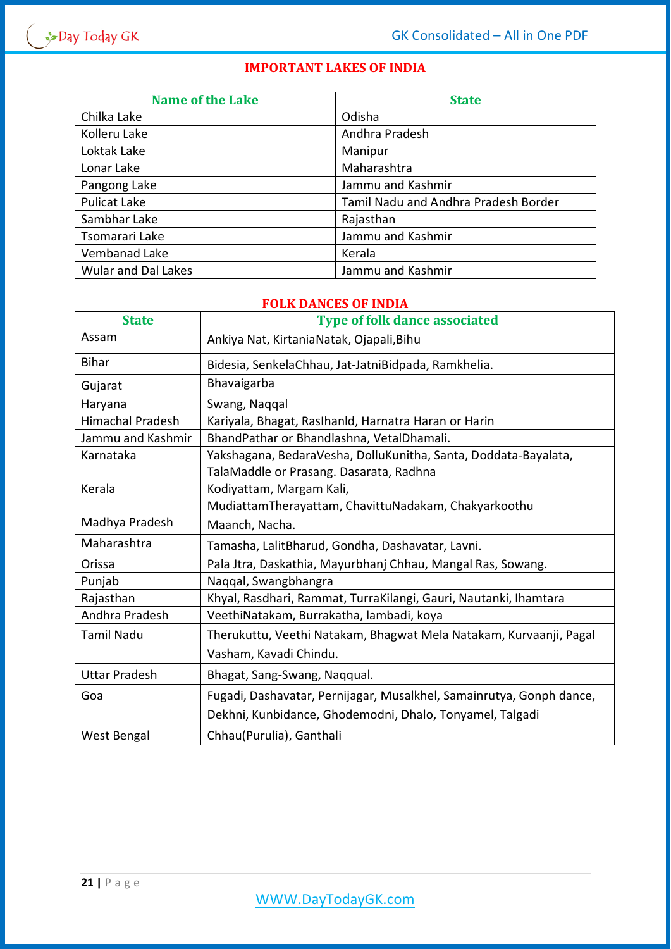# **IMPORTANT LAKES OF INDIA**

| <b>Name of the Lake</b>    | <b>State</b>                         |
|----------------------------|--------------------------------------|
| Chilka Lake                | Odisha                               |
| Kolleru Lake               | Andhra Pradesh                       |
| Loktak Lake                | Manipur                              |
| Lonar Lake                 | Maharashtra                          |
| Pangong Lake               | Jammu and Kashmir                    |
| <b>Pulicat Lake</b>        | Tamil Nadu and Andhra Pradesh Border |
| Sambhar Lake               | Rajasthan                            |
| Tsomarari Lake             | Jammu and Kashmir                    |
| Vembanad Lake              | Kerala                               |
| <b>Wular and Dal Lakes</b> | Jammu and Kashmir                    |

#### **FOLK DANCES OF INDIA**

| <b>State</b>            | <b>Type of folk dance associated</b>                                 |
|-------------------------|----------------------------------------------------------------------|
| Assam                   | Ankiya Nat, KirtaniaNatak, Ojapali, Bihu                             |
| <b>Bihar</b>            | Bidesia, SenkelaChhau, Jat-JatniBidpada, Ramkhelia.                  |
| Gujarat                 | Bhavaigarba                                                          |
| Haryana                 | Swang, Naqqal                                                        |
| <b>Himachal Pradesh</b> | Kariyala, Bhagat, Raslhanld, Harnatra Haran or Harin                 |
| Jammu and Kashmir       | BhandPathar or Bhandlashna, VetalDhamali.                            |
| Karnataka               | Yakshagana, BedaraVesha, DolluKunitha, Santa, Doddata-Bayalata,      |
|                         | TalaMaddle or Prasang. Dasarata, Radhna                              |
| Kerala                  | Kodiyattam, Margam Kali,                                             |
|                         | MudiattamTherayattam, ChavittuNadakam, Chakyarkoothu                 |
| Madhya Pradesh          | Maanch, Nacha.                                                       |
| Maharashtra             | Tamasha, LalitBharud, Gondha, Dashavatar, Lavni.                     |
| Orissa                  | Pala Jtra, Daskathia, Mayurbhanj Chhau, Mangal Ras, Sowang.          |
| Punjab                  | Naqqal, Swangbhangra                                                 |
| Rajasthan               | Khyal, Rasdhari, Rammat, TurraKilangi, Gauri, Nautanki, Ihamtara     |
| Andhra Pradesh          | VeethiNatakam, Burrakatha, lambadi, koya                             |
| <b>Tamil Nadu</b>       | Therukuttu, Veethi Natakam, Bhagwat Mela Natakam, Kurvaanji, Pagal   |
|                         | Vasham, Kavadi Chindu.                                               |
| <b>Uttar Pradesh</b>    | Bhagat, Sang-Swang, Nagqual.                                         |
| Goa                     | Fugadi, Dashavatar, Pernijagar, Musalkhel, Samainrutya, Gonph dance, |
|                         | Dekhni, Kunbidance, Ghodemodni, Dhalo, Tonyamel, Talgadi             |
| West Bengal             | Chhau(Purulia), Ganthali                                             |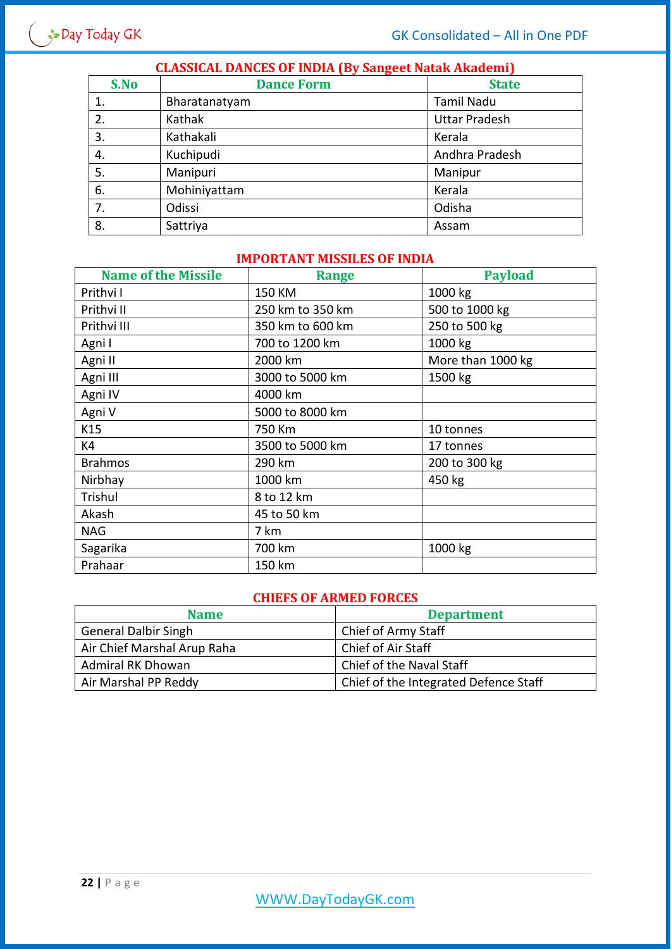| S.No | <b>CLASSICAL DANCES OF INDIA (By Sangeet Natak Akademi)</b><br><b>Dance Form</b><br><b>State</b> |                      |  |
|------|--------------------------------------------------------------------------------------------------|----------------------|--|
|      |                                                                                                  |                      |  |
| 1.   | Bharatanatyam                                                                                    | <b>Tamil Nadu</b>    |  |
| 2.   | Kathak                                                                                           | <b>Uttar Pradesh</b> |  |
| 3.   | Kathakali                                                                                        | Kerala               |  |
| 4.   | Kuchipudi                                                                                        | Andhra Pradesh       |  |
| 5.   | Manipuri                                                                                         | Manipur              |  |
| 6.   | Mohiniyattam                                                                                     | Kerala               |  |
| 7.   | Odissi                                                                                           | Odisha               |  |
| 8.   | Sattriya                                                                                         | Assam                |  |

# **CLASSICAL DANCES OF INDIA (By Sangeet Natak Akademi)**

### **IMPORTANT MISSILES OF INDIA**

| <b>Name of the Missile</b> | <b>Range</b>     | <b>Payload</b>    |
|----------------------------|------------------|-------------------|
| Prithvi I                  | 150 KM           | 1000 kg           |
| Prithvi II                 | 250 km to 350 km | 500 to 1000 kg    |
| Prithvi III                | 350 km to 600 km | 250 to 500 kg     |
| Agni I                     | 700 to 1200 km   | 1000 kg           |
| Agni II                    | 2000 km          | More than 1000 kg |
| Agni III                   | 3000 to 5000 km  | 1500 kg           |
| Agni IV                    | 4000 km          |                   |
| Agni V                     | 5000 to 8000 km  |                   |
| K15                        | 750 Km           | 10 tonnes         |
| K4                         | 3500 to 5000 km  | 17 tonnes         |
| <b>Brahmos</b>             | 290 km           | 200 to 300 kg     |
| Nirbhay                    | 1000 km          | 450 kg            |
| Trishul                    | 8 to 12 km       |                   |
| Akash                      | 45 to 50 km      |                   |
| <b>NAG</b>                 | 7 km             |                   |
| Sagarika                   | 700 km           | 1000 kg           |
| Prahaar                    | 150 km           |                   |

#### **CHIEFS OF ARMED FORCES**

| <b>Name</b>                 | <b>Department</b>                     |
|-----------------------------|---------------------------------------|
| <b>General Dalbir Singh</b> | Chief of Army Staff                   |
| Air Chief Marshal Arup Raha | Chief of Air Staff                    |
| <b>Admiral RK Dhowan</b>    | Chief of the Naval Staff              |
| Air Marshal PP Reddy        | Chief of the Integrated Defence Staff |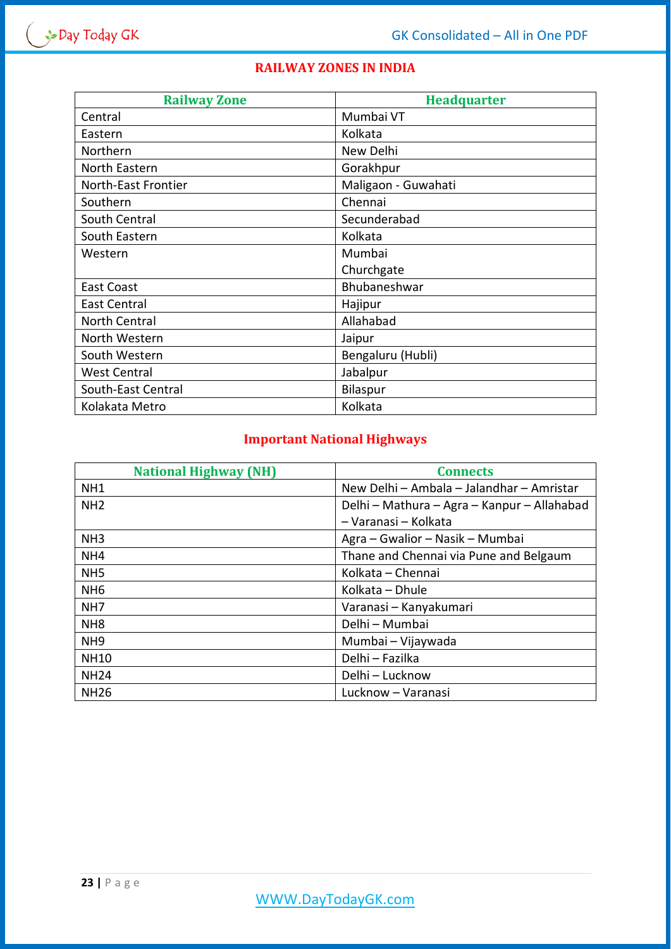# **RAILWAY ZONES IN INDIA**

| <b>Railway Zone</b> | <b>Headquarter</b>  |
|---------------------|---------------------|
| Central             | Mumbai VT           |
| Eastern             | Kolkata             |
| Northern            | New Delhi           |
| North Eastern       | Gorakhpur           |
| North-East Frontier | Maligaon - Guwahati |
| Southern            | Chennai             |
| South Central       | Secunderabad        |
| South Eastern       | Kolkata             |
| Western             | Mumbai              |
|                     | Churchgate          |
| <b>East Coast</b>   | Bhubaneshwar        |
| <b>East Central</b> | Hajipur             |
| North Central       | Allahabad           |
| North Western       | Jaipur              |
| South Western       | Bengaluru (Hubli)   |
| <b>West Central</b> | Jabalpur            |
| South-East Central  | Bilaspur            |
| Kolakata Metro      | Kolkata             |

# **Important National Highways**

| <b>National Highway (NH)</b> | <b>Connects</b>                             |
|------------------------------|---------------------------------------------|
| NH <sub>1</sub>              | New Delhi - Ambala - Jalandhar - Amristar   |
| NH <sub>2</sub>              | Delhi - Mathura - Agra - Kanpur - Allahabad |
|                              | - Varanasi - Kolkata                        |
| NH <sub>3</sub>              | Agra – Gwalior – Nasik – Mumbai             |
| NH <sub>4</sub>              | Thane and Chennai via Pune and Belgaum      |
| NH <sub>5</sub>              | Kolkata - Chennai                           |
| NH <sub>6</sub>              | Kolkata - Dhule                             |
| NH <sub>7</sub>              | Varanasi – Kanyakumari                      |
| NH <sub>8</sub>              | Delhi - Mumbai                              |
| NH <sub>9</sub>              | Mumbai - Vijaywada                          |
| <b>NH10</b>                  | Delhi - Fazilka                             |
| <b>NH24</b>                  | Delhi – Lucknow                             |
| <b>NH26</b>                  | Lucknow – Varanasi                          |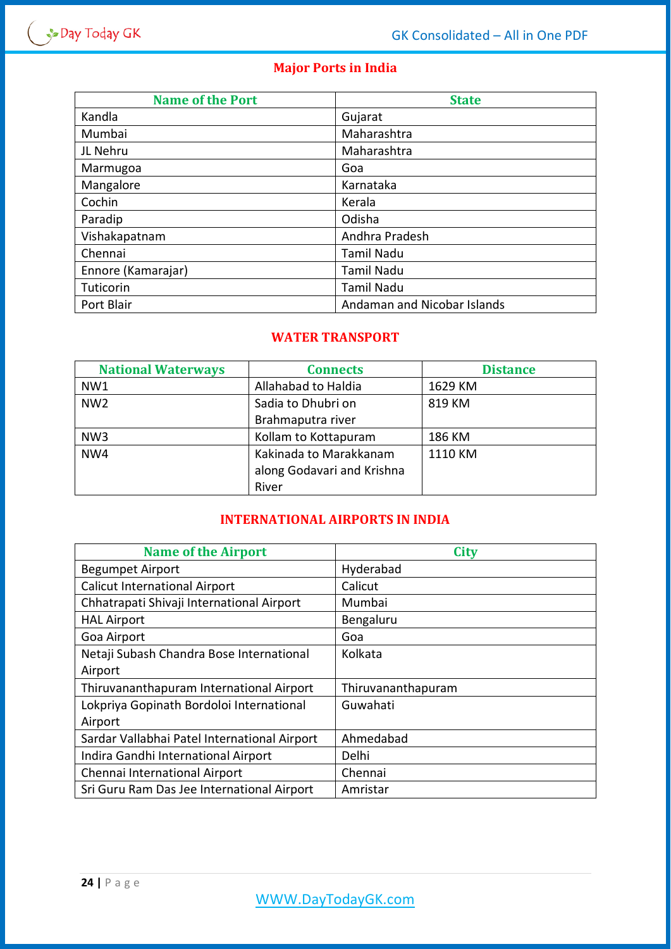# **Major Ports in India**

| <b>Name of the Port</b> | <b>State</b>                |  |
|-------------------------|-----------------------------|--|
| Kandla                  | Gujarat                     |  |
| Mumbai                  | Maharashtra                 |  |
| JL Nehru                | Maharashtra                 |  |
| Marmugoa                | Goa                         |  |
| Mangalore               | Karnataka                   |  |
| Cochin                  | Kerala                      |  |
| Paradip                 | Odisha                      |  |
| Vishakapatnam           | Andhra Pradesh              |  |
| Chennai                 | <b>Tamil Nadu</b>           |  |
| Ennore (Kamarajar)      | Tamil Nadu                  |  |
| Tuticorin               | Tamil Nadu                  |  |
| Port Blair              | Andaman and Nicobar Islands |  |

## **WATER TRANSPORT**

| <b>National Waterways</b> | <b>Connects</b>            | <b>Distance</b> |
|---------------------------|----------------------------|-----------------|
| NW1                       | Allahabad to Haldia        | 1629 KM         |
| NW <sub>2</sub>           | Sadia to Dhubri on         | 819 KM          |
|                           | Brahmaputra river          |                 |
| NW <sub>3</sub>           | Kollam to Kottapuram       | 186 KM          |
| NW4                       | Kakinada to Marakkanam     | 1110 KM         |
|                           | along Godavari and Krishna |                 |
|                           | River                      |                 |

# **INTERNATIONAL AIRPORTS IN INDIA**

| <b>Name of the Airport</b>                   | <b>City</b>        |
|----------------------------------------------|--------------------|
| <b>Begumpet Airport</b>                      | Hyderabad          |
| <b>Calicut International Airport</b>         | Calicut            |
| Chhatrapati Shivaji International Airport    | Mumbai             |
| <b>HAL Airport</b>                           | Bengaluru          |
| Goa Airport                                  | Goa                |
| Netaji Subash Chandra Bose International     | Kolkata            |
| Airport                                      |                    |
| Thiruvananthapuram International Airport     | Thiruvananthapuram |
| Lokpriya Gopinath Bordoloi International     | Guwahati           |
| Airport                                      |                    |
| Sardar Vallabhai Patel International Airport | Ahmedabad          |
| Indira Gandhi International Airport          | Delhi              |
| Chennai International Airport                | Chennai            |
| Sri Guru Ram Das Jee International Airport   | Amristar           |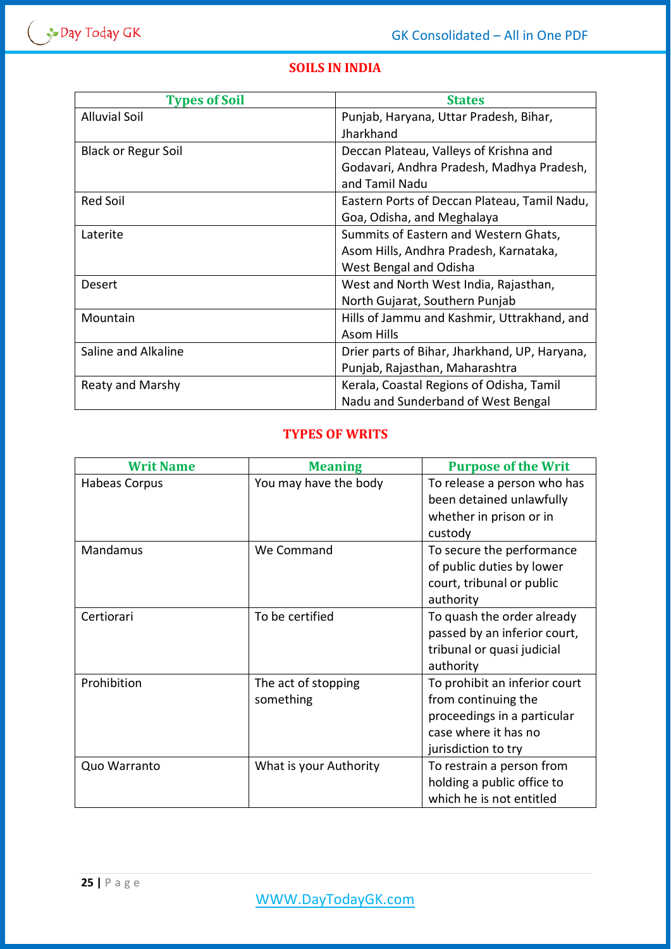# **SOILS IN INDIA**

| <b>Types of Soil</b>       | <b>States</b>                                 |  |
|----------------------------|-----------------------------------------------|--|
| <b>Alluvial Soil</b>       | Punjab, Haryana, Uttar Pradesh, Bihar,        |  |
|                            | Jharkhand                                     |  |
| <b>Black or Regur Soil</b> | Deccan Plateau, Valleys of Krishna and        |  |
|                            | Godavari, Andhra Pradesh, Madhya Pradesh,     |  |
|                            | and Tamil Nadu                                |  |
| <b>Red Soil</b>            | Eastern Ports of Deccan Plateau, Tamil Nadu,  |  |
|                            | Goa, Odisha, and Meghalaya                    |  |
| Laterite                   | Summits of Eastern and Western Ghats,         |  |
|                            | Asom Hills, Andhra Pradesh, Karnataka,        |  |
|                            | West Bengal and Odisha                        |  |
| <b>Desert</b>              | West and North West India, Rajasthan,         |  |
|                            | North Gujarat, Southern Punjab                |  |
| Mountain                   | Hills of Jammu and Kashmir, Uttrakhand, and   |  |
|                            | <b>Asom Hills</b>                             |  |
| Saline and Alkaline        | Drier parts of Bihar, Jharkhand, UP, Haryana, |  |
|                            | Punjab, Rajasthan, Maharashtra                |  |
| Reaty and Marshy           | Kerala, Coastal Regions of Odisha, Tamil      |  |
|                            | Nadu and Sunderband of West Bengal            |  |

## **TYPES OF WRITS**

| <b>Writ Name</b> | <b>Meaning</b>         | <b>Purpose of the Writ</b>    |
|------------------|------------------------|-------------------------------|
| Habeas Corpus    | You may have the body  | To release a person who has   |
|                  |                        | been detained unlawfully      |
|                  |                        | whether in prison or in       |
|                  |                        | custody                       |
| Mandamus         | We Command             | To secure the performance     |
|                  |                        | of public duties by lower     |
|                  |                        | court, tribunal or public     |
|                  |                        | authority                     |
| Certiorari       | To be certified        | To quash the order already    |
|                  |                        | passed by an inferior court,  |
|                  |                        | tribunal or quasi judicial    |
|                  |                        | authority                     |
| Prohibition      | The act of stopping    | To prohibit an inferior court |
|                  | something              | from continuing the           |
|                  |                        | proceedings in a particular   |
|                  |                        | case where it has no          |
|                  |                        | jurisdiction to try           |
| Quo Warranto     | What is your Authority | To restrain a person from     |
|                  |                        | holding a public office to    |
|                  |                        | which he is not entitled      |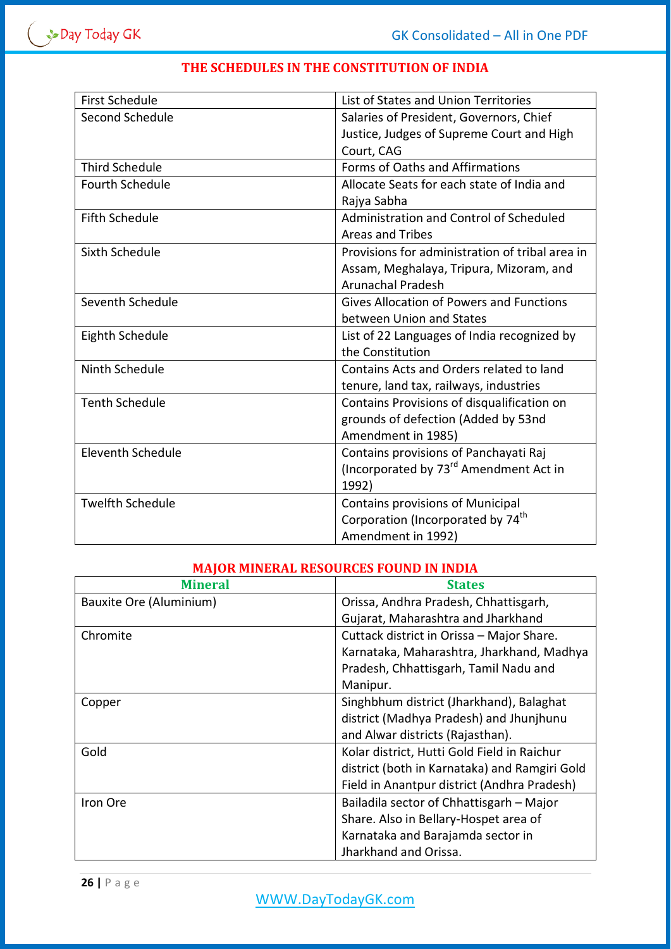| <b>First Schedule</b>    | List of States and Union Territories               |  |
|--------------------------|----------------------------------------------------|--|
| Second Schedule          | Salaries of President, Governors, Chief            |  |
|                          | Justice, Judges of Supreme Court and High          |  |
|                          | Court, CAG                                         |  |
| <b>Third Schedule</b>    | Forms of Oaths and Affirmations                    |  |
| <b>Fourth Schedule</b>   | Allocate Seats for each state of India and         |  |
|                          | Rajya Sabha                                        |  |
| <b>Fifth Schedule</b>    | Administration and Control of Scheduled            |  |
|                          | <b>Areas and Tribes</b>                            |  |
| Sixth Schedule           | Provisions for administration of tribal area in    |  |
|                          | Assam, Meghalaya, Tripura, Mizoram, and            |  |
|                          | <b>Arunachal Pradesh</b>                           |  |
| Seventh Schedule         | Gives Allocation of Powers and Functions           |  |
|                          | between Union and States                           |  |
| Eighth Schedule          | List of 22 Languages of India recognized by        |  |
|                          | the Constitution                                   |  |
| Ninth Schedule           | Contains Acts and Orders related to land           |  |
|                          | tenure, land tax, railways, industries             |  |
| <b>Tenth Schedule</b>    | Contains Provisions of disqualification on         |  |
|                          | grounds of defection (Added by 53nd                |  |
|                          | Amendment in 1985)                                 |  |
| <b>Eleventh Schedule</b> | Contains provisions of Panchayati Raj              |  |
|                          | (Incorporated by 73 <sup>rd</sup> Amendment Act in |  |
|                          | 1992)                                              |  |
| <b>Twelfth Schedule</b>  | Contains provisions of Municipal                   |  |
|                          | Corporation (Incorporated by 74 <sup>th</sup>      |  |
|                          | Amendment in 1992)                                 |  |

## **THE SCHEDULES IN THE CONSTITUTION OF INDIA**

## **MAJOR MINERAL RESOURCES FOUND IN INDIA**

| <b>Mineral</b>          | <b>States</b>                                 |
|-------------------------|-----------------------------------------------|
| Bauxite Ore (Aluminium) | Orissa, Andhra Pradesh, Chhattisgarh,         |
|                         | Gujarat, Maharashtra and Jharkhand            |
| Chromite                | Cuttack district in Orissa - Major Share.     |
|                         | Karnataka, Maharashtra, Jharkhand, Madhya     |
|                         | Pradesh, Chhattisgarh, Tamil Nadu and         |
|                         | Manipur.                                      |
| Copper                  | Singhbhum district (Jharkhand), Balaghat      |
|                         | district (Madhya Pradesh) and Jhunjhunu       |
|                         | and Alwar districts (Rajasthan).              |
| Gold                    | Kolar district, Hutti Gold Field in Raichur   |
|                         | district (both in Karnataka) and Ramgiri Gold |
|                         | Field in Anantpur district (Andhra Pradesh)   |
| Iron Ore                | Bailadila sector of Chhattisgarh - Major      |
|                         | Share. Also in Bellary-Hospet area of         |
|                         | Karnataka and Barajamda sector in             |
|                         | Jharkhand and Orissa.                         |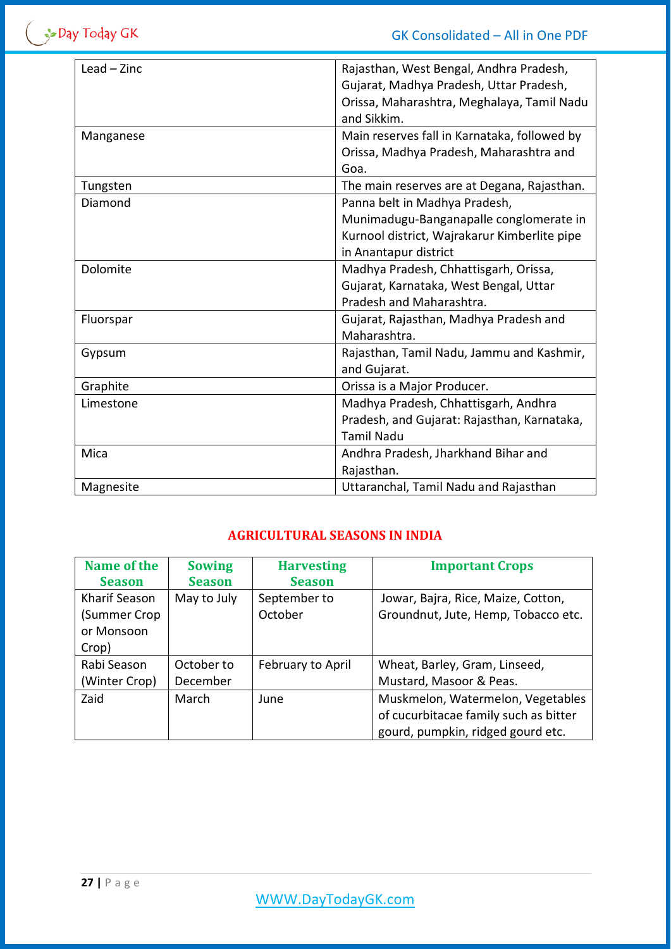$\left( \begin{array}{c} \rightarrow \\ \rightarrow \end{array}$  Day Today GK

| Rajasthan, West Bengal, Andhra Pradesh,      |
|----------------------------------------------|
| Gujarat, Madhya Pradesh, Uttar Pradesh,      |
|                                              |
| Orissa, Maharashtra, Meghalaya, Tamil Nadu   |
|                                              |
| Main reserves fall in Karnataka, followed by |
| Orissa, Madhya Pradesh, Maharashtra and      |
|                                              |
| The main reserves are at Degana, Rajasthan.  |
|                                              |
| Munimadugu-Banganapalle conglomerate in      |
| Kurnool district, Wajrakarur Kimberlite pipe |
|                                              |
|                                              |
|                                              |
|                                              |
| Gujarat, Rajasthan, Madhya Pradesh and       |
|                                              |
| Rajasthan, Tamil Nadu, Jammu and Kashmir,    |
|                                              |
|                                              |
|                                              |
| Pradesh, and Gujarat: Rajasthan, Karnataka,  |
|                                              |
|                                              |
|                                              |
|                                              |
|                                              |

# **AGRICULTURAL SEASONS IN INDIA**

| Name of the<br><b>Season</b> | <b>Sowing</b><br><b>Season</b> | <b>Harvesting</b><br><b>Season</b> | <b>Important Crops</b>                |
|------------------------------|--------------------------------|------------------------------------|---------------------------------------|
| Kharif Season                | May to July                    | September to                       | Jowar, Bajra, Rice, Maize, Cotton,    |
| (Summer Crop                 |                                | October                            | Groundnut, Jute, Hemp, Tobacco etc.   |
| or Monsoon                   |                                |                                    |                                       |
| Crop)                        |                                |                                    |                                       |
| Rabi Season                  | October to                     | February to April                  | Wheat, Barley, Gram, Linseed,         |
| (Winter Crop)                | December                       |                                    | Mustard, Masoor & Peas.               |
| Zaid                         | March                          | June                               | Muskmelon, Watermelon, Vegetables     |
|                              |                                |                                    | of cucurbitacae family such as bitter |
|                              |                                |                                    | gourd, pumpkin, ridged gourd etc.     |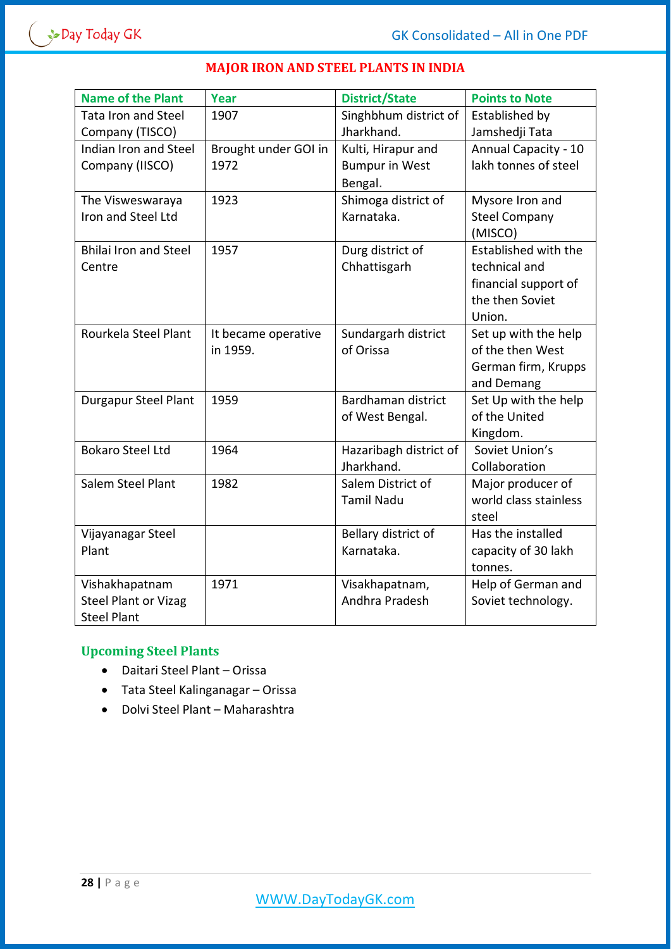

| <b>Name of the Plant</b>     | <b>Year</b>          | <b>District/State</b>  | <b>Points to Note</b> |
|------------------------------|----------------------|------------------------|-----------------------|
| <b>Tata Iron and Steel</b>   | 1907                 | Singhbhum district of  | Established by        |
| Company (TISCO)              |                      | Jharkhand.             | Jamshedji Tata        |
| Indian Iron and Steel        | Brought under GOI in | Kulti, Hirapur and     | Annual Capacity - 10  |
| Company (IISCO)              | 1972                 | <b>Bumpur in West</b>  | lakh tonnes of steel  |
|                              |                      | Bengal.                |                       |
| The Visweswaraya             | 1923                 | Shimoga district of    | Mysore Iron and       |
| Iron and Steel Ltd           |                      | Karnataka.             | <b>Steel Company</b>  |
|                              |                      |                        | (MISCO)               |
| <b>Bhilai Iron and Steel</b> | 1957                 | Durg district of       | Established with the  |
| Centre                       |                      | Chhattisgarh           | technical and         |
|                              |                      |                        | financial support of  |
|                              |                      |                        | the then Soviet       |
|                              |                      |                        | Union.                |
| Rourkela Steel Plant         | It became operative  | Sundargarh district    | Set up with the help  |
|                              | in 1959.             | of Orissa              | of the then West      |
|                              |                      |                        | German firm, Krupps   |
|                              |                      |                        | and Demang            |
| Durgapur Steel Plant         | 1959                 | Bardhaman district     | Set Up with the help  |
|                              |                      | of West Bengal.        | of the United         |
|                              |                      |                        | Kingdom.              |
| <b>Bokaro Steel Ltd</b>      | 1964                 | Hazaribagh district of | Soviet Union's        |
|                              |                      | Jharkhand.             | Collaboration         |
| Salem Steel Plant            | 1982                 | Salem District of      | Major producer of     |
|                              |                      | <b>Tamil Nadu</b>      | world class stainless |
|                              |                      |                        | steel                 |
| Vijayanagar Steel            |                      | Bellary district of    | Has the installed     |
| Plant                        |                      | Karnataka.             | capacity of 30 lakh   |
|                              |                      |                        | tonnes.               |
| Vishakhapatnam               | 1971                 | Visakhapatnam,         | Help of German and    |
| <b>Steel Plant or Vizag</b>  |                      | Andhra Pradesh         | Soviet technology.    |
| <b>Steel Plant</b>           |                      |                        |                       |

#### **MAJOR IRON AND STEEL PLANTS IN INDIA**

# **Upcoming Steel Plants**

- Daitari Steel Plant Orissa
- Tata Steel Kalinganagar Orissa
- Dolvi Steel Plant Maharashtra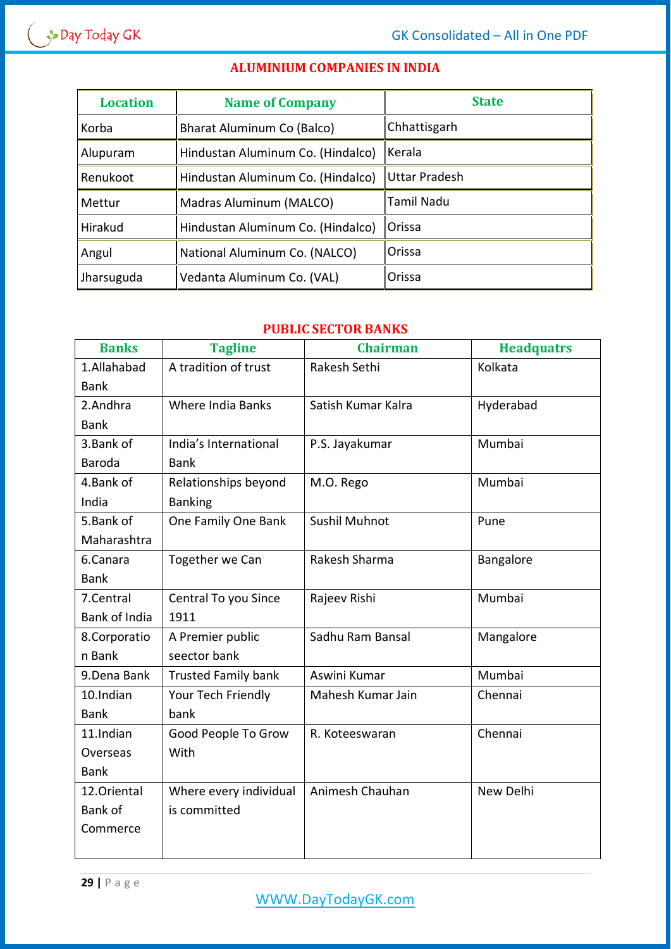# **ALUMINIUM COMPANIES IN INDIA**

| <b>Location</b> | <b>Name of Company</b>            | <b>State</b>      |  |
|-----------------|-----------------------------------|-------------------|--|
| Korba           | Bharat Aluminum Co (Balco)        | Chhattisgarh      |  |
| Alupuram        | Hindustan Aluminum Co. (Hindalco) | Kerala            |  |
| Renukoot        | Hindustan Aluminum Co. (Hindalco) | Uttar Pradesh     |  |
| Mettur          | Madras Aluminum (MALCO)           | <b>Tamil Nadu</b> |  |
| Hirakud         | Hindustan Aluminum Co. (Hindalco) | <b>Orissa</b>     |  |
| Angul           | National Aluminum Co. (NALCO)     | Orissa            |  |
| Jharsuguda      | Vedanta Aluminum Co. (VAL)        | Orissa            |  |

## **PUBLIC SECTOR BANKS**

| <b>Banks</b>  | <b>Tagline</b>             | <b>Chairman</b>    | <b>Headquatrs</b> |
|---------------|----------------------------|--------------------|-------------------|
| 1.Allahabad   | A tradition of trust       | Rakesh Sethi       | Kolkata           |
| <b>Bank</b>   |                            |                    |                   |
| 2.Andhra      | Where India Banks          | Satish Kumar Kalra | Hyderabad         |
| <b>Bank</b>   |                            |                    |                   |
| 3. Bank of    | India's International      | P.S. Jayakumar     | Mumbai            |
| Baroda        | <b>Bank</b>                |                    |                   |
| 4.Bank of     | Relationships beyond       | M.O. Rego          | Mumbai            |
| India         | <b>Banking</b>             |                    |                   |
| 5.Bank of     | One Family One Bank        | Sushil Muhnot      | Pune              |
| Maharashtra   |                            |                    |                   |
| 6.Canara      | Together we Can            | Rakesh Sharma      | Bangalore         |
| <b>Bank</b>   |                            |                    |                   |
| 7.Central     | Central To you Since       | Rajeev Rishi       | Mumbai            |
| Bank of India | 1911                       |                    |                   |
| 8.Corporatio  | A Premier public           | Sadhu Ram Bansal   | Mangalore         |
| n Bank        | seector bank               |                    |                   |
| 9. Dena Bank  | <b>Trusted Family bank</b> | Aswini Kumar       | Mumbai            |
| 10.Indian     | Your Tech Friendly         | Mahesh Kumar Jain  | Chennai           |
| <b>Bank</b>   | bank                       |                    |                   |
| 11.Indian     | Good People To Grow        | R. Koteeswaran     | Chennai           |
| Overseas      | With                       |                    |                   |
| <b>Bank</b>   |                            |                    |                   |
| 12.Oriental   | Where every individual     | Animesh Chauhan    | New Delhi         |
| Bank of       | is committed               |                    |                   |
| Commerce      |                            |                    |                   |
|               |                            |                    |                   |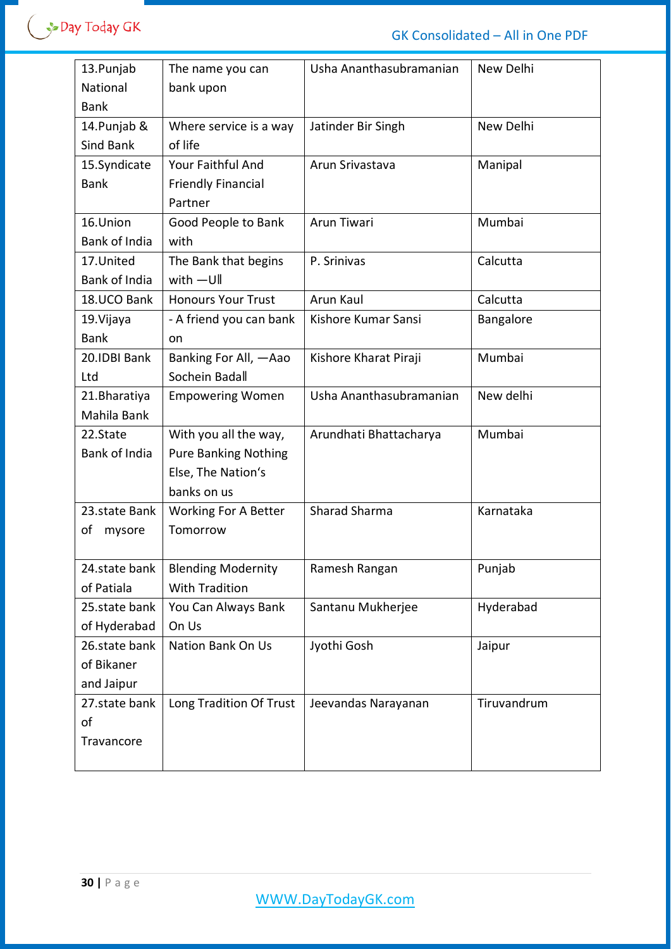| 13. Punjab<br>National<br><b>Bank</b>     | The name you can<br>bank upon                                                             | Usha Ananthasubramanian | New Delhi   |
|-------------------------------------------|-------------------------------------------------------------------------------------------|-------------------------|-------------|
| 14. Punjab &<br><b>Sind Bank</b>          | Where service is a way<br>of life                                                         | Jatinder Bir Singh      | New Delhi   |
| 15.Syndicate<br><b>Bank</b>               | Your Faithful And<br><b>Friendly Financial</b><br>Partner                                 | Arun Srivastava         | Manipal     |
| 16.Union<br>Bank of India                 | Good People to Bank<br>with                                                               | Arun Tiwari             | Mumbai      |
| 17.United<br>Bank of India                | The Bank that begins<br>with $-U$ ll                                                      | P. Srinivas             | Calcutta    |
| 18.UCO Bank                               | <b>Honours Your Trust</b>                                                                 | Arun Kaul               | Calcutta    |
| 19. Vijaya<br><b>Bank</b>                 | - A friend you can bank<br>on                                                             | Kishore Kumar Sansi     | Bangalore   |
| 20.IDBI Bank<br>Ltd                       | Banking For All, -Aao<br>Sochein Badall                                                   | Kishore Kharat Piraji   | Mumbai      |
| 21. Bharatiya<br>Mahila Bank              | <b>Empowering Women</b>                                                                   | Usha Ananthasubramanian | New delhi   |
| 22.State<br><b>Bank of India</b>          | With you all the way,<br><b>Pure Banking Nothing</b><br>Else, The Nation's<br>banks on us | Arundhati Bhattacharya  | Mumbai      |
| 23.state Bank<br>οf<br>mysore             | Working For A Better<br>Tomorrow                                                          | <b>Sharad Sharma</b>    | Karnataka   |
| 24.state bank<br>of Patiala               | <b>Blending Modernity</b><br><b>With Tradition</b>                                        | Ramesh Rangan           | Punjab      |
| 25.state bank<br>of Hyderabad             | You Can Always Bank<br>On Us                                                              | Santanu Mukherjee       | Hyderabad   |
| 26.state bank<br>of Bikaner<br>and Jaipur | Nation Bank On Us                                                                         | Jyothi Gosh             | Jaipur      |
| 27.state bank<br>of<br>Travancore         | Long Tradition Of Trust                                                                   | Jeevandas Narayanan     | Tiruvandrum |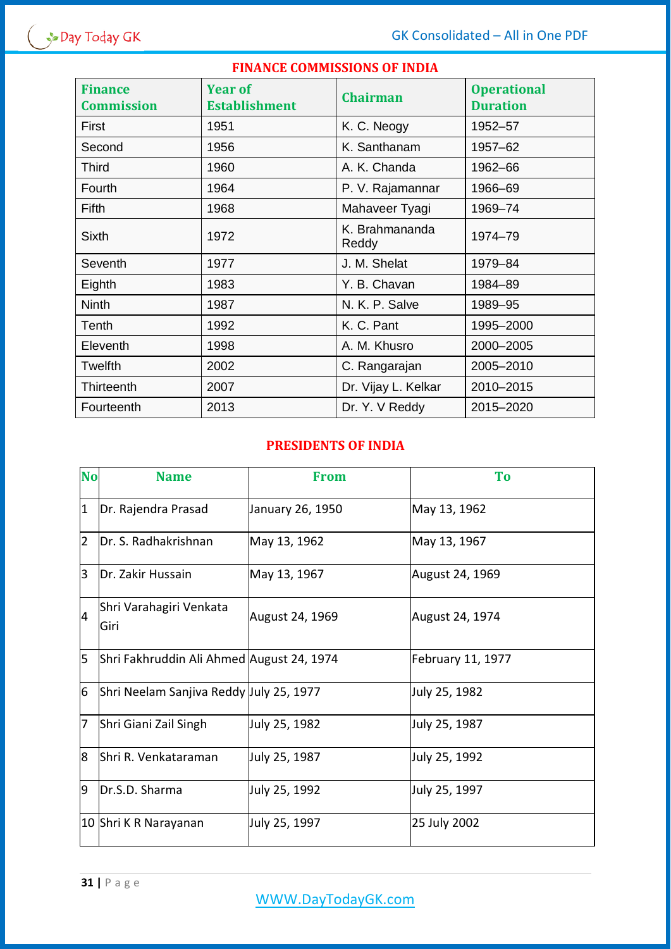## **FINANCE COMMISSIONS OF INDIA**

| <b>Finance</b><br><b>Commission</b> | <b>Year of</b><br><b>Establishment</b> | <b>Chairman</b>         | <b>Operational</b><br><b>Duration</b> |
|-------------------------------------|----------------------------------------|-------------------------|---------------------------------------|
| First                               | 1951                                   | K. C. Neogy             | 1952-57                               |
| Second                              | 1956                                   | K. Santhanam            | 1957-62                               |
| <b>Third</b>                        | 1960                                   | A. K. Chanda            | 1962-66                               |
| Fourth                              | 1964                                   | P. V. Rajamannar        | 1966-69                               |
| Fifth                               | 1968                                   | Mahaveer Tyagi          | 1969-74                               |
| <b>Sixth</b>                        | 1972                                   | K. Brahmananda<br>Reddy | 1974-79                               |
| <b>Seventh</b>                      | 1977                                   | J. M. Shelat            | 1979-84                               |
| Eighth                              | 1983                                   | Y. B. Chavan            | 1984-89                               |
| <b>Ninth</b>                        | 1987                                   | N. K. P. Salve          | 1989-95                               |
| Tenth                               | 1992                                   | K. C. Pant              | 1995-2000                             |
| Eleventh                            | 1998                                   | A. M. Khusro            | 2000-2005                             |
| Twelfth                             | 2002                                   | C. Rangarajan           | 2005-2010                             |
| Thirteenth                          | 2007                                   | Dr. Vijay L. Kelkar     | 2010-2015                             |
| Fourteenth                          | 2013                                   | Dr. Y. V Reddy          | 2015-2020                             |

## **PRESIDENTS OF INDIA**

| <b>No</b>      | <b>Name</b>                               | <b>From</b>      | <b>To</b>         |
|----------------|-------------------------------------------|------------------|-------------------|
| $\overline{1}$ | Dr. Rajendra Prasad                       | January 26, 1950 | May 13, 1962      |
| $\overline{2}$ | Dr. S. Radhakrishnan                      | May 13, 1962     | May 13, 1967      |
| $\overline{3}$ | IDr. Zakir Hussain                        | May 13, 1967     | August 24, 1969   |
| 4              | Shri Varahagiri Venkata<br>Giri           | August 24, 1969  | August 24, 1974   |
| 5              | Shri Fakhruddin Ali Ahmed August 24, 1974 |                  | February 11, 1977 |
| 6              | Shri Neelam Sanjiva Reddy July 25, 1977   |                  | July 25, 1982     |
| 7              | Shri Giani Zail Singh                     | July 25, 1982    | July 25, 1987     |
| 8              | Shri R. Venkataraman                      | July 25, 1987    | July 25, 1992     |
| 9              | Dr.S.D. Sharma                            | July 25, 1992    | July 25, 1997     |
|                | 10 Shri K R Narayanan                     | July 25, 1997    | 25 July 2002      |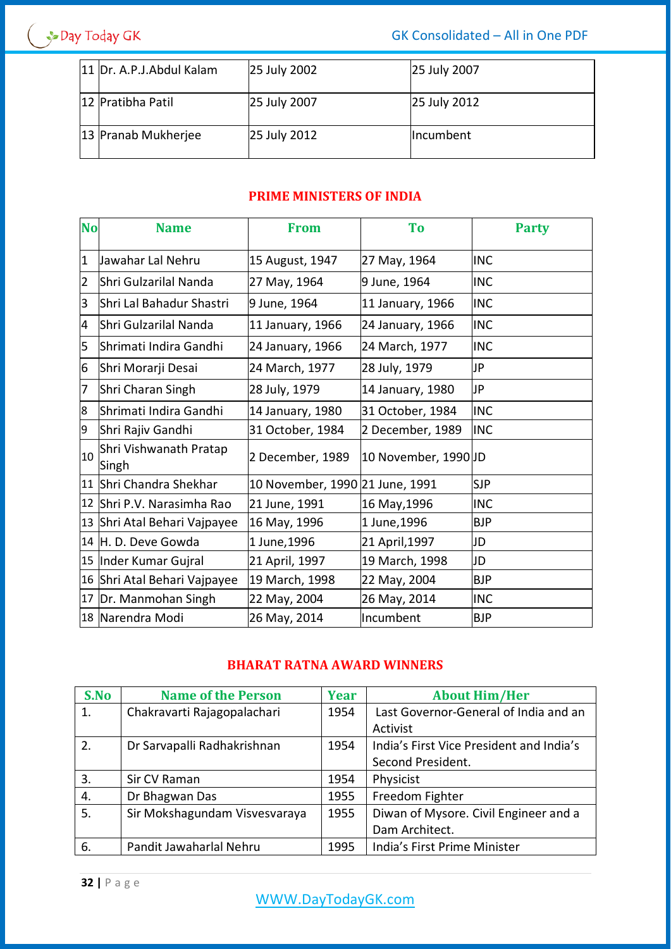$\left( \begin{array}{c} \rightarrow \\ \rightarrow \end{array}$  Day Today GK

GK Consolidated – All in One PDF

| 11 Dr. A.P.J.Abdul Kalam | 25 July 2002 | 25 July 2007 |
|--------------------------|--------------|--------------|
| 12 Pratibha Patil        | 25 July 2007 | 25 July 2012 |
| 13 Pranab Mukherjee      | 25 July 2012 | Incumbent    |

# **PRIME MINISTERS OF INDIA**

| <b>No</b>      | <b>Name</b>                     | <b>From</b>                     | <b>To</b>            | <b>Party</b> |
|----------------|---------------------------------|---------------------------------|----------------------|--------------|
| $\mathbf{1}$   | Jawahar Lal Nehru               | 15 August, 1947                 | 27 May, 1964         | <b>INC</b>   |
| $\overline{2}$ | Shri Gulzarilal Nanda           | 27 May, 1964                    | 9 June, 1964         | <b>INC</b>   |
| 3              | lShri Lal Bahadur Shastri       | 9 June, 1964                    | 11 January, 1966     | <b>INC</b>   |
| 4              | Shri Gulzarilal Nanda           | 11 January, 1966                | 24 January, 1966     | <b>INC</b>   |
| 5              | lShrimati Indira Gandhi         | 24 January, 1966                | 24 March, 1977       | <b>INC</b>   |
| 6              | Shri Morarji Desai              | 24 March, 1977                  | 28 July, 1979        | JP           |
| 7              | Shri Charan Singh               | 28 July, 1979                   | 14 January, 1980     | JP           |
| 8              | Shrimati Indira Gandhi          | 14 January, 1980                | 31 October, 1984     | <b>INC</b>   |
| 9              | Shri Rajiv Gandhi               | 31 October, 1984                | 2 December, 1989     | <b>INC</b>   |
| 10             | Shri Vishwanath Pratap<br>Singh | 2 December, 1989                | 10 November, 1990 JD |              |
| 11             | Shri Chandra Shekhar            | 10 November, 1990 21 June, 1991 |                      | <b>SJP</b>   |
| 12             | Shri P.V. Narasimha Rao         | 21 June, 1991                   | 16 May, 1996         | <b>INC</b>   |
| 13             | Shri Atal Behari Vajpayee       | 16 May, 1996                    | 1 June, 1996         | <b>BJP</b>   |
|                | 14 H. D. Deve Gowda             | 1 June, 1996                    | 21 April, 1997       | JD           |
| 15             | Inder Kumar Gujral              | 21 April, 1997                  | 19 March, 1998       | JD           |
|                | 16 Shri Atal Behari Vajpayee    | 19 March, 1998                  | 22 May, 2004         | <b>BJP</b>   |
| 17             | Dr. Manmohan Singh              | 22 May, 2004                    | 26 May, 2014         | <b>INC</b>   |
|                | 18 Narendra Modi                | 26 May, 2014                    | Incumbent            | <b>BJP</b>   |

# **BHARAT RATNA AWARD WINNERS**

| S.No | <b>Name of the Person</b>     | <b>Year</b> | <b>About Him/Her</b>                     |
|------|-------------------------------|-------------|------------------------------------------|
| 1.   | Chakravarti Rajagopalachari   | 1954        | Last Governor-General of India and an    |
|      |                               |             | Activist                                 |
| 2.   | Dr Sarvapalli Radhakrishnan   | 1954        | India's First Vice President and India's |
|      |                               |             | Second President.                        |
| 3.   | Sir CV Raman                  | 1954        | Physicist                                |
| 4.   | Dr Bhagwan Das                | 1955        | Freedom Fighter                          |
| 5.   | Sir Mokshagundam Visvesvaraya | 1955        | Diwan of Mysore. Civil Engineer and a    |
|      |                               |             | Dam Architect.                           |
| 6.   | Pandit Jawaharlal Nehru       | 1995        | India's First Prime Minister             |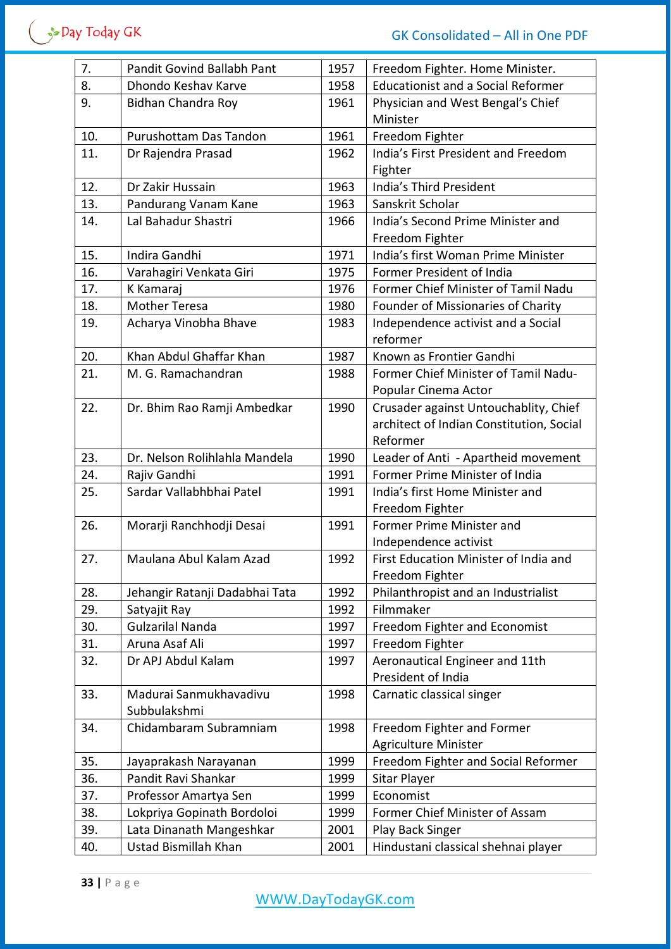| 7.  | Pandit Govind Ballabh Pant     | 1957 | Freedom Fighter. Home Minister.           |
|-----|--------------------------------|------|-------------------------------------------|
| 8.  | Dhondo Keshav Karve            | 1958 | <b>Educationist and a Social Reformer</b> |
| 9.  | Bidhan Chandra Roy             | 1961 | Physician and West Bengal's Chief         |
|     |                                |      | Minister                                  |
| 10. | Purushottam Das Tandon         | 1961 | Freedom Fighter                           |
| 11. | Dr Rajendra Prasad             | 1962 | India's First President and Freedom       |
|     |                                |      | Fighter                                   |
| 12. | Dr Zakir Hussain               | 1963 | India's Third President                   |
| 13. | Pandurang Vanam Kane           | 1963 | Sanskrit Scholar                          |
| 14. | Lal Bahadur Shastri            | 1966 | India's Second Prime Minister and         |
|     |                                |      | Freedom Fighter                           |
| 15. | Indira Gandhi                  | 1971 | India's first Woman Prime Minister        |
| 16. | Varahagiri Venkata Giri        | 1975 | Former President of India                 |
| 17. | K Kamaraj                      | 1976 | Former Chief Minister of Tamil Nadu       |
| 18. | <b>Mother Teresa</b>           | 1980 | Founder of Missionaries of Charity        |
| 19. | Acharya Vinobha Bhave          | 1983 | Independence activist and a Social        |
|     |                                |      | reformer                                  |
| 20. | Khan Abdul Ghaffar Khan        | 1987 | Known as Frontier Gandhi                  |
| 21. | M. G. Ramachandran             | 1988 | Former Chief Minister of Tamil Nadu-      |
|     |                                |      | Popular Cinema Actor                      |
| 22. | Dr. Bhim Rao Ramji Ambedkar    | 1990 | Crusader against Untouchablity, Chief     |
|     |                                |      | architect of Indian Constitution, Social  |
|     |                                |      | Reformer                                  |
| 23. | Dr. Nelson Rolihlahla Mandela  | 1990 | Leader of Anti - Apartheid movement       |
| 24. | Rajiv Gandhi                   | 1991 | Former Prime Minister of India            |
| 25. | Sardar Vallabhbhai Patel       | 1991 | India's first Home Minister and           |
|     |                                |      | Freedom Fighter                           |
| 26. | Morarji Ranchhodji Desai       | 1991 | Former Prime Minister and                 |
|     |                                |      | Independence activist                     |
| 27. | Maulana Abul Kalam Azad        | 1992 | First Education Minister of India and     |
|     |                                |      | Freedom Fighter                           |
| 28. | Jehangir Ratanji Dadabhai Tata | 1992 | Philanthropist and an Industrialist       |
| 29. | Satyajit Ray                   | 1992 | Filmmaker                                 |
| 30. | <b>Gulzarilal Nanda</b>        | 1997 | Freedom Fighter and Economist             |
| 31. | Aruna Asaf Ali                 | 1997 | Freedom Fighter                           |
| 32. | Dr APJ Abdul Kalam             | 1997 | Aeronautical Engineer and 11th            |
|     |                                |      | President of India                        |
| 33. | Madurai Sanmukhavadivu         | 1998 | Carnatic classical singer                 |
|     | Subbulakshmi                   |      |                                           |
| 34. | Chidambaram Subramniam         | 1998 | Freedom Fighter and Former                |
|     |                                |      | Agriculture Minister                      |
| 35. | Jayaprakash Narayanan          | 1999 | Freedom Fighter and Social Reformer       |
| 36. | Pandit Ravi Shankar            | 1999 | Sitar Player                              |
| 37. | Professor Amartya Sen          | 1999 | Economist                                 |
| 38. | Lokpriya Gopinath Bordoloi     | 1999 | Former Chief Minister of Assam            |
| 39. | Lata Dinanath Mangeshkar       | 2001 | Play Back Singer                          |
| 40. | Ustad Bismillah Khan           | 2001 | Hindustani classical shehnai player       |
|     |                                |      |                                           |